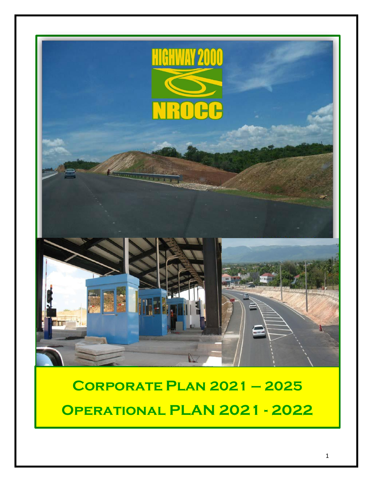

# **Corporate Plan 2021 – 2025 Operational PLAN 2021 - 2022**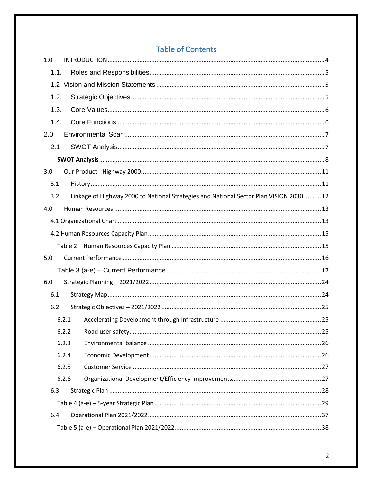# **Table of Contents**

| 1.0  |                                                                                         |  |  |  |  |  |  |
|------|-----------------------------------------------------------------------------------------|--|--|--|--|--|--|
| 1.1. |                                                                                         |  |  |  |  |  |  |
|      |                                                                                         |  |  |  |  |  |  |
| 1.2. |                                                                                         |  |  |  |  |  |  |
| 1.3. |                                                                                         |  |  |  |  |  |  |
| 1.4. |                                                                                         |  |  |  |  |  |  |
| 2.0  |                                                                                         |  |  |  |  |  |  |
| 2.1  |                                                                                         |  |  |  |  |  |  |
|      |                                                                                         |  |  |  |  |  |  |
| 3.0  |                                                                                         |  |  |  |  |  |  |
| 3.1  |                                                                                         |  |  |  |  |  |  |
| 3.2  | Linkage of Highway 2000 to National Strategies and National Sector Plan VISION 2030  12 |  |  |  |  |  |  |
| 4.0  |                                                                                         |  |  |  |  |  |  |
|      |                                                                                         |  |  |  |  |  |  |
|      |                                                                                         |  |  |  |  |  |  |
|      |                                                                                         |  |  |  |  |  |  |
| 5.0  |                                                                                         |  |  |  |  |  |  |
|      |                                                                                         |  |  |  |  |  |  |
| 6.0  |                                                                                         |  |  |  |  |  |  |
| 6.1  |                                                                                         |  |  |  |  |  |  |
| 6.2  |                                                                                         |  |  |  |  |  |  |
|      | 6.2.1                                                                                   |  |  |  |  |  |  |
|      | 6.2.2                                                                                   |  |  |  |  |  |  |
|      | 6.2.3                                                                                   |  |  |  |  |  |  |
|      | 6.2.4                                                                                   |  |  |  |  |  |  |
|      | 6.2.5                                                                                   |  |  |  |  |  |  |
|      | 6.2.6                                                                                   |  |  |  |  |  |  |
| 6.3  |                                                                                         |  |  |  |  |  |  |
|      |                                                                                         |  |  |  |  |  |  |
| 6.4  |                                                                                         |  |  |  |  |  |  |
|      |                                                                                         |  |  |  |  |  |  |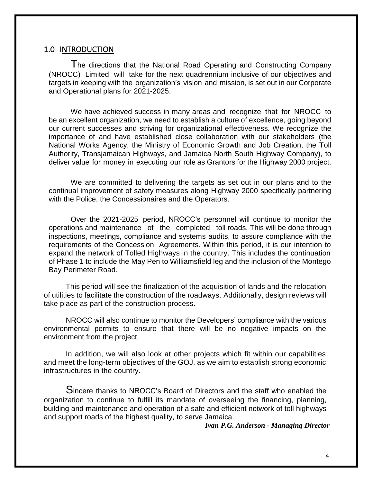#### <span id="page-3-0"></span>1.0 INTRODUCTION

The directions that the National Road Operating and Constructing Company (NROCC) Limited will take for the next quadrennium inclusive of our objectives and targets in keeping with the organization's vision and mission, is set out in our Corporate and Operational plans for 2021-2025.

We have achieved success in many areas and recognize that for NROCC to be an excellent organization, we need to establish a culture of excellence, going beyond our current successes and striving for organizational effectiveness. We recognize the importance of and have established close collaboration with our stakeholders (the National Works Agency, the Ministry of Economic Growth and Job Creation, the Toll Authority, Transjamaican Highways, and Jamaica North South Highway Company), to deliver value for money in executing our role as Grantors for the Highway 2000 project.

We are committed to delivering the targets as set out in our plans and to the continual improvement of safety measures along Highway 2000 specifically partnering with the Police, the Concessionaires and the Operators.

Over the 2021-2025 period, NROCC's personnel will continue to monitor the operations and maintenance of the completed toll roads. This will be done through inspections, meetings, compliance and systems audits, to assure compliance with the requirements of the Concession Agreements. Within this period, it is our intention to expand the network of Tolled Highways in the country. This includes the continuation of Phase 1 to include the May Pen to Williamsfield leg and the inclusion of the Montego Bay Perimeter Road.

This period will see the finalization of the acquisition of lands and the relocation of utilities to facilitate the construction of the roadways. Additionally, design reviews will take place as part of the construction process.

NROCC will also continue to monitor the Developers' compliance with the various environmental permits to ensure that there will be no negative impacts on the environment from the project.

In addition, we will also look at other projects which fit within our capabilities and meet the long-term objectives of the GOJ, as we aim to establish strong economic infrastructures in the country.

Sincere thanks to NROCC's Board of Directors and the staff who enabled the organization to continue to fulfill its mandate of overseeing the financing, planning, building and maintenance and operation of a safe and efficient network of toll highways and support roads of the highest quality, to serve Jamaica.

*Ivan P.G. Anderson - Managing Director*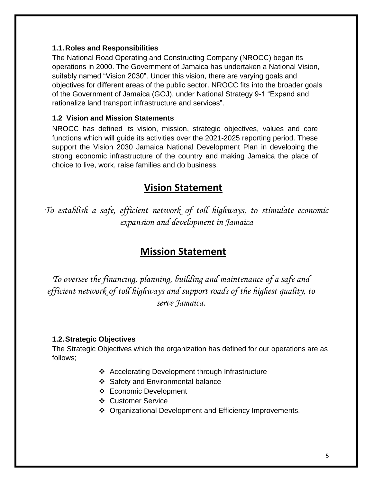#### <span id="page-4-0"></span>**1.1.Roles and Responsibilities**

The National Road Operating and Constructing Company (NROCC) began its operations in 2000. The Government of Jamaica has undertaken a National Vision, suitably named "Vision 2030". Under this vision, there are varying goals and objectives for different areas of the public sector. NROCC fits into the broader goals of the Government of Jamaica (GOJ), under National Strategy 9-1 "Expand and rationalize land transport infrastructure and services".

#### <span id="page-4-1"></span>**1.2 Vision and Mission Statements**

NROCC has defined its vision, mission, strategic objectives, values and core functions which will guide its activities over the 2021-2025 reporting period. These support the Vision 2030 Jamaica National Development Plan in developing the strong economic infrastructure of the country and making Jamaica the place of choice to live, work, raise families and do business.

# **Vision Statement**

*To establish a safe, efficient network of toll highways, to stimulate economic expansion and development in Jamaica*

# **Mission Statement**

*To oversee the financing, planning, building and maintenance of a safe and efficient network of toll highways and support roads of the highest quality, to serve Jamaica.*

## <span id="page-4-2"></span>**1.2.Strategic Objectives**

The Strategic Objectives which the organization has defined for our operations are as follows;

- ❖ Accelerating Development through Infrastructure
- ❖ Safety and Environmental balance
- ❖ Economic Development
- ❖ Customer Service
- ❖ Organizational Development and Efficiency Improvements.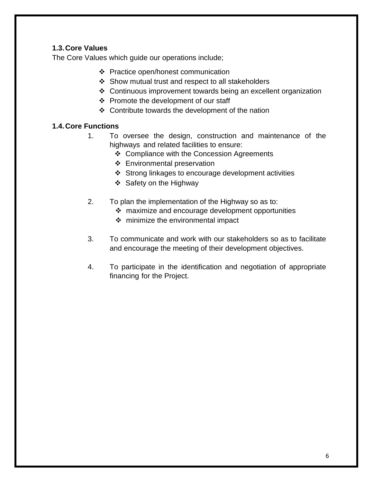## <span id="page-5-0"></span>**1.3.Core Values**

The Core Values which guide our operations include;

- ❖ Practice open/honest communication
- ❖ Show mutual trust and respect to all stakeholders
- ❖ Continuous improvement towards being an excellent organization
- ❖ Promote the development of our staff
- ❖ Contribute towards the development of the nation

## <span id="page-5-1"></span>**1.4.Core Functions**

- 1. To oversee the design, construction and maintenance of the highways and related facilities to ensure:
	- ❖ Compliance with the Concession Agreements
	- ❖ Environmental preservation
	- ❖ Strong linkages to encourage development activities
	- ❖ Safety on the Highway
- 2. To plan the implementation of the Highway so as to:
	- ❖ maximize and encourage development opportunities
	- ❖ minimize the environmental impact
- 3. To communicate and work with our stakeholders so as to facilitate and encourage the meeting of their development objectives.
- 4. To participate in the identification and negotiation of appropriate financing for the Project.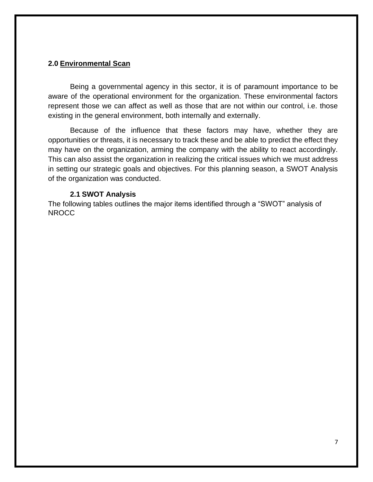#### <span id="page-6-0"></span>**2.0 Environmental Scan**

Being a governmental agency in this sector, it is of paramount importance to be aware of the operational environment for the organization. These environmental factors represent those we can affect as well as those that are not within our control, i.e. those existing in the general environment, both internally and externally.

Because of the influence that these factors may have, whether they are opportunities or threats, it is necessary to track these and be able to predict the effect they may have on the organization, arming the company with the ability to react accordingly. This can also assist the organization in realizing the critical issues which we must address in setting our strategic goals and objectives. For this planning season, a SWOT Analysis of the organization was conducted.

#### **2.1 SWOT Analysis**

<span id="page-6-1"></span>The following tables outlines the major items identified through a "SWOT" analysis of NROCC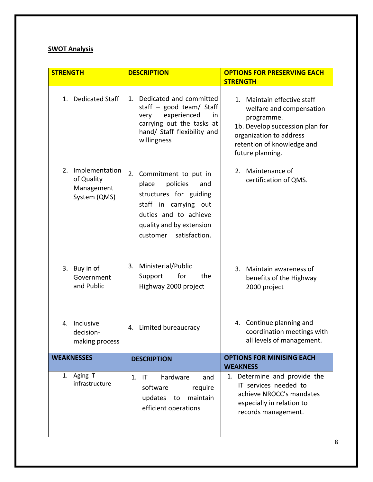#### <span id="page-7-0"></span>**SWOT Analysis**

| <b>STRENGTH</b>                                                  | <b>DESCRIPTION</b>                                                                                                                                                                          | <b>OPTIONS FOR PRESERVING EACH</b><br><b>STRENGTH</b>                                                                                                                                 |  |  |
|------------------------------------------------------------------|---------------------------------------------------------------------------------------------------------------------------------------------------------------------------------------------|---------------------------------------------------------------------------------------------------------------------------------------------------------------------------------------|--|--|
| 1. Dedicated Staff                                               | Dedicated and committed<br>1.<br>staff $-$ good team/ Staff<br>experienced<br>very<br>in<br>carrying out the tasks at<br>hand/ Staff flexibility and<br>willingness                         | 1. Maintain effective staff<br>welfare and compensation<br>programme.<br>1b. Develop succession plan for<br>organization to address<br>retention of knowledge and<br>future planning. |  |  |
| 2.<br>Implementation<br>of Quality<br>Management<br>System (QMS) | Commitment to put in<br>2.<br>policies<br>place<br>and<br>structures for guiding<br>staff in carrying out<br>duties and to achieve<br>quality and by extension<br>satisfaction.<br>customer | 2. Maintenance of<br>certification of QMS.                                                                                                                                            |  |  |
| Buy in of<br>3.<br>Government<br>and Public                      | Ministerial/Public<br>3.<br>Support<br>for<br>the<br>Highway 2000 project                                                                                                                   | 3.<br>Maintain awareness of<br>benefits of the Highway<br>2000 project                                                                                                                |  |  |
| Inclusive<br>4.<br>decision-<br>making process                   | Limited bureaucracy<br>4.                                                                                                                                                                   | 4. Continue planning and<br>coordination meetings with<br>all levels of management.                                                                                                   |  |  |
| <b>WEAKNESSES</b>                                                | <b>DESCRIPTION</b>                                                                                                                                                                          | <b>OPTIONS FOR MINISING EACH</b><br><b>WEAKNESS</b>                                                                                                                                   |  |  |
| Aging IT<br>1.<br>infrastructure                                 | hardware<br>1. IT<br>and<br>software<br>require<br>updates to<br>maintain<br>efficient operations                                                                                           | 1. Determine and provide the<br>IT services needed to<br>achieve NROCC's mandates<br>especially in relation to<br>records management.                                                 |  |  |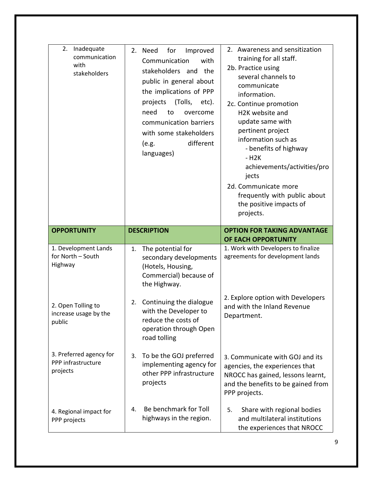| 2.<br>Inadequate<br>communication<br>with<br>stakeholders | 2. Need<br>for<br>Improved<br>Communication<br>with<br>stakeholders and<br>the<br>public in general about<br>the implications of PPP<br>(Tolls,<br>projects<br>etc).<br>need<br>to<br>overcome<br>communication barriers<br>with some stakeholders<br>different<br>(e.g.<br>languages) | 2. Awareness and sensitization<br>training for all staff.<br>2b. Practice using<br>several channels to<br>communicate<br>information.<br>2c. Continue promotion<br>H2K website and<br>update same with<br>pertinent project<br>information such as<br>- benefits of highway<br>- H <sub>2</sub> K<br>achievements/activities/pro<br>jects<br>2d. Communicate more<br>frequently with public about<br>the positive impacts of<br>projects. |
|-----------------------------------------------------------|----------------------------------------------------------------------------------------------------------------------------------------------------------------------------------------------------------------------------------------------------------------------------------------|-------------------------------------------------------------------------------------------------------------------------------------------------------------------------------------------------------------------------------------------------------------------------------------------------------------------------------------------------------------------------------------------------------------------------------------------|
| <b>OPPORTUNITY</b>                                        | <b>DESCRIPTION</b>                                                                                                                                                                                                                                                                     | <b>OPTION FOR TAKING ADVANTAGE</b><br>OF EACH OPPORTUNITY                                                                                                                                                                                                                                                                                                                                                                                 |
| 1. Development Lands<br>for North - South<br>Highway      | The potential for<br>1.<br>secondary developments<br>(Hotels, Housing,<br>Commercial) because of<br>the Highway.                                                                                                                                                                       | 1. Work with Developers to finalize<br>agreements for development lands                                                                                                                                                                                                                                                                                                                                                                   |
| 2. Open Tolling to<br>increase usage by the<br>public     | Continuing the dialogue<br>2.<br>with the Developer to<br>reduce the costs of<br>operation through Open<br>road tolling                                                                                                                                                                | 2. Explore option with Developers<br>and with the Inland Revenue<br>Department.                                                                                                                                                                                                                                                                                                                                                           |
| 3. Preferred agency for<br>PPP infrastructure<br>projects | To be the GOJ preferred<br>3.<br>implementing agency for<br>other PPP infrastructure<br>projects                                                                                                                                                                                       | 3. Communicate with GOJ and its<br>agencies, the experiences that<br>NROCC has gained, lessons learnt,<br>and the benefits to be gained from<br>PPP projects.                                                                                                                                                                                                                                                                             |
| 4. Regional impact for<br>PPP projects                    | Be benchmark for Toll<br>4.<br>highways in the region.                                                                                                                                                                                                                                 | Share with regional bodies<br>5.<br>and multilateral institutions<br>the experiences that NROCC                                                                                                                                                                                                                                                                                                                                           |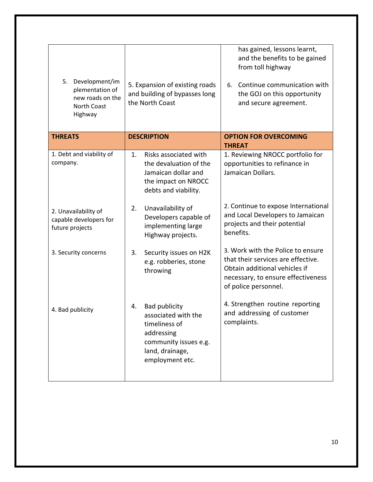| 5.<br>Development/im<br>plementation of<br>new roads on the<br><b>North Coast</b><br>Highway | 5. Expansion of existing roads<br>and building of bypasses long<br>the North Coast                                                              | has gained, lessons learnt,<br>and the benefits to be gained<br>from toll highway<br>Continue communication with<br>6.<br>the GOJ on this opportunity<br>and secure agreement. |
|----------------------------------------------------------------------------------------------|-------------------------------------------------------------------------------------------------------------------------------------------------|--------------------------------------------------------------------------------------------------------------------------------------------------------------------------------|
| <b>THREATS</b>                                                                               | <b>DESCRIPTION</b>                                                                                                                              | <b>OPTION FOR OVERCOMING</b><br><b>THREAT</b>                                                                                                                                  |
| 1. Debt and viability of<br>company.                                                         | Risks associated with<br>1.<br>the devaluation of the<br>Jamaican dollar and<br>the impact on NROCC<br>debts and viability.                     | 1. Reviewing NROCC portfolio for<br>opportunities to refinance in<br>Jamaican Dollars.                                                                                         |
| 2. Unavailability of<br>capable developers for<br>future projects                            | Unavailability of<br>2.<br>Developers capable of<br>implementing large<br>Highway projects.                                                     | 2. Continue to expose International<br>and Local Developers to Jamaican<br>projects and their potential<br>benefits.                                                           |
| 3. Security concerns                                                                         | Security issues on H2K<br>3.<br>e.g. robberies, stone<br>throwing                                                                               | 3. Work with the Police to ensure<br>that their services are effective.<br>Obtain additional vehicles if<br>necessary, to ensure effectiveness<br>of police personnel.         |
| 4. Bad publicity                                                                             | <b>Bad publicity</b><br>4.<br>associated with the<br>timeliness of<br>addressing<br>community issues e.g.<br>land, drainage,<br>employment etc. | 4. Strengthen routine reporting<br>and addressing of customer<br>complaints.                                                                                                   |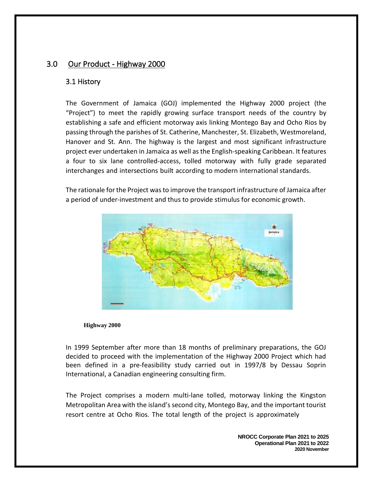## <span id="page-10-1"></span><span id="page-10-0"></span>3.0 Our Product - Highway 2000

#### 3.1 History

The Government of Jamaica (GOJ) implemented the Highway 2000 project (the "Project") to meet the rapidly growing surface transport needs of the country by establishing a safe and efficient motorway axis linking Montego Bay and Ocho Rios by passing through the parishes of St. Catherine, Manchester, St. Elizabeth, Westmoreland, Hanover and St. Ann. The highway is the largest and most significant infrastructure project ever undertaken in Jamaica as well as the English-speaking Caribbean. It features a four to six lane controlled-access, tolled motorway with fully grade separated interchanges and intersections built according to modern international standards.

The rationale for the Project was to improve the transport infrastructure of Jamaica after a period of under-investment and thus to provide stimulus for economic growth.



#### **Highway 2000**

In 1999 September after more than 18 months of preliminary preparations, the GOJ decided to proceed with the implementation of the Highway 2000 Project which had been defined in a pre-feasibility study carried out in 1997/8 by Dessau Soprin International, a Canadian engineering consulting firm.

The Project comprises a modern multi-lane tolled, motorway linking the Kingston Metropolitan Area with the island's second city, Montego Bay, and the important tourist resort centre at Ocho Rios. The total length of the project is approximately

> **NROCC Corporate Plan 2021 to 2025 Operational Plan 2021 to 2022 2020 November**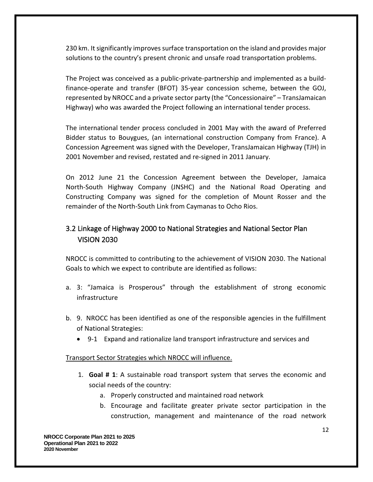230 km. It significantly improves surface transportation on the island and provides major solutions to the country's present chronic and unsafe road transportation problems.

The Project was conceived as a public-private-partnership and implemented as a buildfinance-operate and transfer (BFOT) 35-year concession scheme, between the GOJ, represented by NROCC and a private sector party (the "Concessionaire" – TransJamaican Highway) who was awarded the Project following an international tender process.

The international tender process concluded in 2001 May with the award of Preferred Bidder status to Bouygues, (an international construction Company from France). A Concession Agreement was signed with the Developer, TransJamaican Highway (TJH) in 2001 November and revised, restated and re-signed in 2011 January.

On 2012 June 21 the Concession Agreement between the Developer, Jamaica North-South Highway Company (JNSHC) and the National Road Operating and Constructing Company was signed for the completion of Mount Rosser and the remainder of the North-South Link from Caymanas to Ocho Rios.

# <span id="page-11-0"></span>3.2 Linkage of Highway 2000 to National Strategies and National Sector Plan VISION 2030

NROCC is committed to contributing to the achievement of VISION 2030. The National Goals to which we expect to contribute are identified as follows:

- a. 3: "Jamaica is Prosperous" through the establishment of strong economic infrastructure
- b. 9. NROCC has been identified as one of the responsible agencies in the fulfillment of National Strategies:
	- 9-1 Expand and rationalize land transport infrastructure and services and

#### Transport Sector Strategies which NROCC will influence.

- 1. **Goal # 1**: A sustainable road transport system that serves the economic and social needs of the country:
	- a. Properly constructed and maintained road network
	- b. Encourage and facilitate greater private sector participation in the construction, management and maintenance of the road network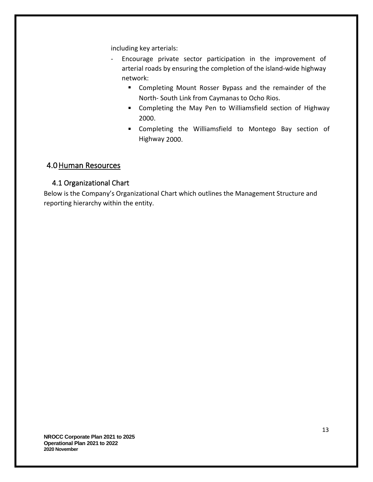including key arterials:

- Encourage private sector participation in the improvement of arterial roads by ensuring the completion of the island-wide highway network:
	- Completing Mount Rosser Bypass and the remainder of the North- South Link from Caymanas to Ocho Rios.
	- Completing the May Pen to Williamsfield section of Highway 2000.
	- Completing the Williamsfield to Montego Bay section of Highway 2000.

# <span id="page-12-0"></span>4.0Human Resources

# <span id="page-12-1"></span>4.1 Organizational Chart

Below is the Company's Organizational Chart which outlines the Management Structure and reporting hierarchy within the entity.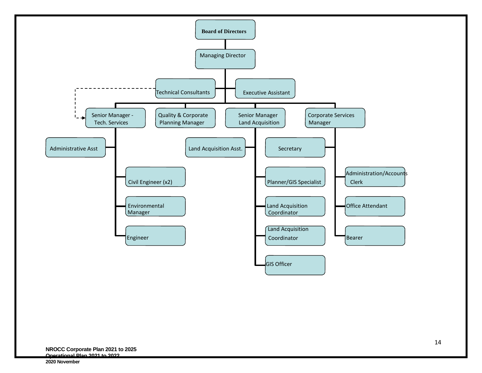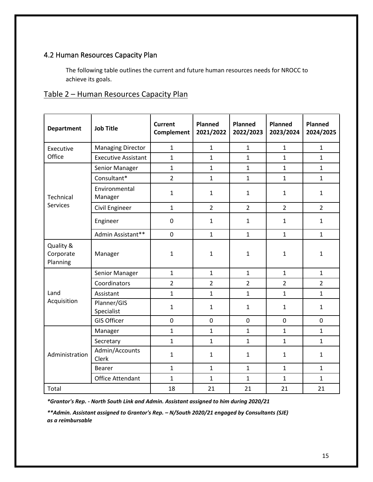# <span id="page-14-0"></span>4.2 Human Resources Capacity Plan

The following table outlines the current and future human resources needs for NROCC to achieve its goals.

#### <span id="page-14-1"></span>Table 2 – Human Resources Capacity Plan

| <b>Job Title</b><br><b>Department</b> |                            | <b>Current</b><br>Complement | Planned<br>2021/2022 | Planned<br>2022/2023 | <b>Planned</b><br>2023/2024 | <b>Planned</b><br>2024/2025 |
|---------------------------------------|----------------------------|------------------------------|----------------------|----------------------|-----------------------------|-----------------------------|
| Executive                             | <b>Managing Director</b>   | $\mathbf{1}$                 | $\mathbf{1}$         | $\mathbf{1}$         | $\mathbf{1}$                | $\mathbf{1}$                |
| Office                                | <b>Executive Assistant</b> | $\mathbf{1}$                 | $\mathbf{1}$         | $\mathbf{1}$         | $\mathbf{1}$                | $\mathbf{1}$                |
|                                       | Senior Manager             | $\mathbf{1}$                 | $\mathbf{1}$         | $\mathbf{1}$         | $\mathbf{1}$                | $\mathbf{1}$                |
|                                       | Consultant*                | $\overline{2}$               | $\mathbf{1}$         | $\mathbf{1}$         | $\mathbf{1}$                | $\mathbf{1}$                |
| Technical                             | Environmental<br>Manager   | $\mathbf{1}$                 | $\mathbf{1}$         | $\mathbf{1}$         | $\mathbf{1}$                | $\mathbf{1}$                |
| <b>Services</b>                       | Civil Engineer             | $\mathbf{1}$                 | $\overline{2}$       | $\overline{2}$       | $\overline{2}$              | $\overline{2}$              |
|                                       | Engineer                   | $\boldsymbol{0}$             | $\mathbf{1}$         | $\mathbf{1}$         | $\mathbf{1}$                | $\mathbf{1}$                |
|                                       | Admin Assistant**          | $\mathbf 0$                  | $\mathbf{1}$         | $\mathbf{1}$         | $\mathbf{1}$                | $\mathbf{1}$                |
| Quality &<br>Corporate<br>Planning    | Manager                    | $\mathbf{1}$                 | $\mathbf{1}$         | $\mathbf{1}$         | $\mathbf{1}$                | $\mathbf{1}$                |
|                                       | Senior Manager             | $\mathbf{1}$                 | $\mathbf{1}$         | $\mathbf{1}$         | $\mathbf{1}$                | $\mathbf{1}$                |
|                                       | Coordinators               | $\overline{2}$               | $\overline{2}$       | $\overline{2}$       | $\overline{2}$              | $\overline{2}$              |
| Land                                  | Assistant                  | $\mathbf{1}$                 | $\mathbf{1}$         | $\mathbf{1}$         | $\mathbf{1}$                | $\mathbf{1}$                |
| Acquisition                           | Planner/GIS<br>Specialist  | $\mathbf{1}$                 | $\mathbf{1}$         | $\mathbf{1}$         | $\mathbf{1}$                | $\mathbf{1}$                |
|                                       | <b>GIS Officer</b>         | $\mathbf 0$                  | 0                    | $\mathbf 0$          | $\mathbf 0$                 | $\mathbf 0$                 |
|                                       | Manager                    | $\mathbf{1}$                 | $\mathbf{1}$         | $\mathbf{1}$         | $\mathbf{1}$                | $\mathbf{1}$                |
|                                       | Secretary                  | $\mathbf{1}$                 | $\mathbf{1}$         | $\mathbf{1}$         | $\mathbf{1}$                | $\mathbf{1}$                |
| Administration                        | Admin/Accounts<br>Clerk    | $\mathbf{1}$                 | $\mathbf{1}$         | $\mathbf{1}$         | $\mathbf{1}$                | $\mathbf{1}$                |
|                                       | <b>Bearer</b>              | $\mathbf{1}$                 | $\mathbf{1}$         | $\mathbf{1}$         | $\mathbf{1}$                | $\mathbf{1}$                |
|                                       | <b>Office Attendant</b>    | $\mathbf{1}$                 | $\mathbf{1}$         | $\mathbf{1}$         | $\mathbf{1}$                | $\mathbf{1}$                |
| Total                                 |                            | 18                           | 21                   | 21                   | 21                          | 21                          |

*\*Grantor's Rep. - North South Link and Admin. Assistant assigned to him during 2020/21*

*\*\*Admin. Assistant assigned to Grantor's Rep. – N/South 2020/21 engaged by Consultants (SJE) as a reimbursable*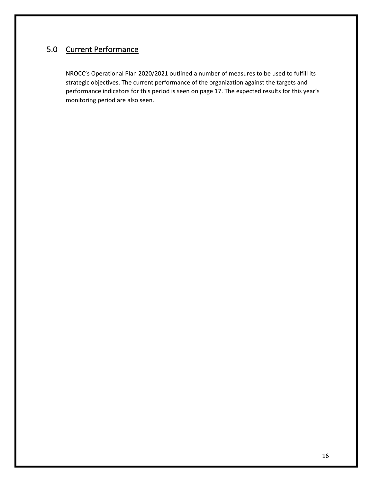# <span id="page-15-0"></span>5.0 Current Performance

NROCC's Operational Plan 2020/2021 outlined a number of measures to be used to fulfill its strategic objectives. The current performance of the organization against the targets and performance indicators for this period is seen on page 17. The expected results for this year's monitoring period are also seen.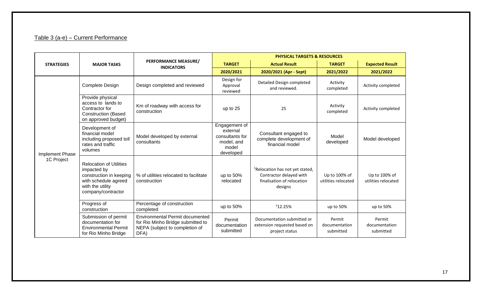# Table 3 (a-e) – Current Performance

<span id="page-16-0"></span>

|                   |                                                                                                                                            |                                                                                                                       | <b>PHYSICAL TARGETS &amp; RESOURCES</b>                                          |                                                                                                                 |                                      |                                      |
|-------------------|--------------------------------------------------------------------------------------------------------------------------------------------|-----------------------------------------------------------------------------------------------------------------------|----------------------------------------------------------------------------------|-----------------------------------------------------------------------------------------------------------------|--------------------------------------|--------------------------------------|
| <b>STRATEGIES</b> | <b>MAJOR TASKS</b>                                                                                                                         | <b>PERFORMANCE MEASURE/</b><br><b>INDICATORS</b>                                                                      | <b>TARGET</b>                                                                    | <b>Actual Result</b>                                                                                            | <b>TARGET</b>                        | <b>Expected Result</b>               |
|                   |                                                                                                                                            |                                                                                                                       | 2020/2021                                                                        | 2020/2021 (Apr - Sept)                                                                                          | 2021/2022                            | 2021/2022                            |
|                   | Complete Design                                                                                                                            | Design completed and reviewed                                                                                         | Design for<br>Approval<br>reviewed                                               | Detailed Design completed<br>and reviewed.                                                                      | Activity<br>completed                | Activity completed                   |
|                   | Provide physical<br>access to lands to<br>Contractor for<br><b>Construction (Based</b><br>on approved budget)                              | Km of roadway with access for<br>construction                                                                         | up to 25                                                                         | 25                                                                                                              | Activity<br>completed                | Activity completed                   |
| Implement Phase   | Development of<br>financial model<br>including proposed toll<br>rates and traffic<br>volumes                                               | Model developed by external<br>consultants                                                                            | Engagement of<br>external<br>consultants for<br>model, and<br>model<br>developed | Consultant engaged to<br>complete development of<br>financial model                                             | Model<br>developed                   | Model developed                      |
| 1C Project        | <b>Relocation of Utilities</b><br>impacted by<br>construction in keeping<br>with schedule agreed<br>with the utility<br>company/contractor | % of utilities relocated to facilitate<br>construction                                                                | up to 50%<br>relocated                                                           | <sup>1</sup> Relocation has not yet stated,<br>Contractor delayed with<br>finalisation of relocation<br>designs | Up to 100% of<br>utilities relocated | Up to 100% of<br>utilities relocated |
|                   | Progress of<br>construction                                                                                                                | Percentage of construction<br>completed                                                                               | up to 50%                                                                        | 212.25%                                                                                                         | up to 50%                            | up to 50%                            |
|                   | Submission of permit<br>documentation for<br><b>Environmental Permit</b><br>for Rio Minho Bridge                                           | <b>Environmental Permit documented</b><br>for Rio Minho Bridge submitted to<br>NEPA (subject to completion of<br>DFA) | Permit<br>documentation<br>submitted                                             | Documentation submitted or<br>extension requested based on<br>project status                                    | Permit<br>documentation<br>submitted | Permit<br>documentation<br>submitted |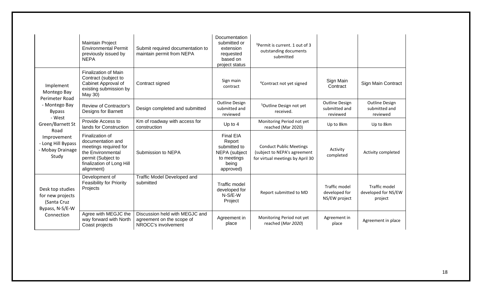|                                                                                      | <b>Maintain Project</b><br><b>Environmental Permit</b><br>previously issued by<br><b>NEPA</b>                                                       | Submit required documentation to<br>maintain permit from NEPA                      | Documentation<br>submitted or<br>extension<br>requested<br>based on<br>project status            | <sup>3</sup> Permit is current. 1 out of 3<br>outstanding documents<br>submitted                   |                                                    |                                                    |
|--------------------------------------------------------------------------------------|-----------------------------------------------------------------------------------------------------------------------------------------------------|------------------------------------------------------------------------------------|--------------------------------------------------------------------------------------------------|----------------------------------------------------------------------------------------------------|----------------------------------------------------|----------------------------------------------------|
| Implement<br>Montego Bay<br>Perimeter Road<br>- Montego Bay<br><b>Bypass</b>         | <b>Finalization of Main</b><br>Contract (subject to<br>Cabinet Approval of<br>existing submission by<br>May 30)                                     | Contract signed                                                                    | Sign main<br>contract                                                                            | <sup>4</sup> Contract not yet signed                                                               | Sign Main<br>Contract                              | Sign Main Contract                                 |
|                                                                                      | <b>Review of Contractor's</b><br>Designs for Barnett                                                                                                | Design completed and submitted                                                     | <b>Outline Design</b><br>submitted and<br>reviewed                                               | <sup>5</sup> Outline Design not yet<br>received.                                                   | <b>Outline Design</b><br>submitted and<br>reviewed | <b>Outline Design</b><br>submitted and<br>reviewed |
| - West<br>Green/Barnett St                                                           | Provide Access to<br>lands for Construction                                                                                                         | Km of roadway with access for<br>construction                                      | Up to $4$                                                                                        | Monitoring Period not yet<br>reached (Mar 2020)                                                    | Up to 8km                                          | Up to 8km                                          |
| Road<br>Improvement<br>- Long Hill Bypass<br>- Mobay Drainage<br>Study               | Finalization of<br>documentation and<br>meetings required for<br>the Environmental<br>permit (Subject to<br>finalization of Long Hill<br>alignment) | Submission to NEPA                                                                 | <b>Final EIA</b><br>Report<br>submitted to<br>NEPA (subject<br>to meetings<br>being<br>approved) | <b>Conduct Public Meetings</b><br>(subject to NEPA's agreement<br>for virtual meetings by April 30 | Activity<br>completed                              | Activity completed                                 |
| Desk top studies<br>for new projects<br>(Santa Cruz<br>Bypass, N-S/E-W<br>Connection | Development of<br><b>Feasibility for Priority</b><br>Projects                                                                                       | Traffic Model Developed and<br>submitted                                           | Traffic model<br>developed for<br>$N-S/E-W$<br>Project                                           | Report submitted to MD                                                                             | Traffic model<br>developed for<br>NS/EW project    | Traffic model<br>developed for NS/EW<br>project    |
|                                                                                      | Agree with MEGJC the<br>way forward with North<br>Coast projects                                                                                    | Discussion held with MEGJC and<br>agreement on the scope of<br>NROCC's involvement | Agreement in<br>place                                                                            | Monitoring Period not yet<br>reached (Mar 2020)                                                    | Agreement in<br>place                              | Agreement in place                                 |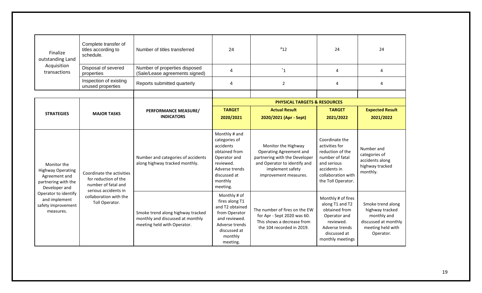| Finalize<br>outstanding Land                                                                                                                                                 | Complete transfer of<br>titles according to<br>schedule.                                                                                     | Number of titles transferred                                                                         | 24                                                                                                                                                 | $*12$                                                                                                                                                        | 24                                                                                                                                                 | 24                                                                                                            |
|------------------------------------------------------------------------------------------------------------------------------------------------------------------------------|----------------------------------------------------------------------------------------------------------------------------------------------|------------------------------------------------------------------------------------------------------|----------------------------------------------------------------------------------------------------------------------------------------------------|--------------------------------------------------------------------------------------------------------------------------------------------------------------|----------------------------------------------------------------------------------------------------------------------------------------------------|---------------------------------------------------------------------------------------------------------------|
| Acquisition<br>transactions                                                                                                                                                  | Disposal of severed<br>properties                                                                                                            | Number of properties disposed<br>(Sale/Lease agreements signed)                                      | 4                                                                                                                                                  | $^*1$                                                                                                                                                        | 4                                                                                                                                                  | 4                                                                                                             |
|                                                                                                                                                                              | Inspection of existing<br>unused properties                                                                                                  | Reports submitted quarterly                                                                          | 4                                                                                                                                                  | $\overline{2}$                                                                                                                                               | 4                                                                                                                                                  | 4                                                                                                             |
|                                                                                                                                                                              |                                                                                                                                              |                                                                                                      |                                                                                                                                                    |                                                                                                                                                              |                                                                                                                                                    |                                                                                                               |
|                                                                                                                                                                              |                                                                                                                                              |                                                                                                      |                                                                                                                                                    | <b>PHYSICAL TARGETS &amp; RESOURCES</b>                                                                                                                      |                                                                                                                                                    |                                                                                                               |
|                                                                                                                                                                              |                                                                                                                                              | PERFORMANCE MEASURE/                                                                                 | <b>TARGET</b>                                                                                                                                      | <b>Actual Result</b>                                                                                                                                         | <b>TARGET</b>                                                                                                                                      | <b>Expected Result</b>                                                                                        |
| <b>STRATEGIES</b>                                                                                                                                                            | <b>MAJOR TASKS</b>                                                                                                                           | <b>INDICATORS</b>                                                                                    | 2020/2021                                                                                                                                          | 2020/2021 (Apr - Sept)                                                                                                                                       | 2021/2022                                                                                                                                          | 2021/2022                                                                                                     |
|                                                                                                                                                                              |                                                                                                                                              |                                                                                                      |                                                                                                                                                    |                                                                                                                                                              |                                                                                                                                                    |                                                                                                               |
| Monitor the<br><b>Highway Operating</b><br>Agreement and<br>partnering with the<br>Developer and<br>Operator to identify<br>and implement<br>safety improvement<br>measures. | Coordinate the activities<br>for reduction of the<br>number of fatal and<br>serious accidents in<br>collaboration with the<br>Toll Operator. | Number and categories of accidents<br>along highway tracked monthly.                                 | Monthly # and<br>categories of<br>accidents<br>obtained from<br>Operator and<br>reviewed.<br>Adverse trends<br>discussed at<br>monthly<br>meeting. | Monitor the Highway<br>Operating Agreement and<br>partnering with the Developer<br>and Operator to identify and<br>implement safety<br>improvement measures. | Coordinate the<br>activities for<br>reduction of the<br>number of fatal<br>and serious<br>accidents in<br>collaboration with<br>the Toll Operator. | Number and<br>categories of<br>accidents along<br>highway tracked<br>monthly.                                 |
|                                                                                                                                                                              |                                                                                                                                              | Smoke trend along highway tracked<br>monthly and discussed at monthly<br>meeting held with Operator. | Monthly # of<br>fires along T1<br>and T2 obtained<br>from Operator<br>and reviewed.<br>Adverse trends<br>discussed at<br>monthly<br>meeting.       | The number of fires on the EW<br>for Apr - Sept 2020 was 60.<br>This shows a decrease from<br>the 104 recorded in 2019.                                      | Monthly # of fires<br>along T1 and T2<br>obtained from<br>Operator and<br>reviewed.<br>Adverse trends<br>discussed at<br>monthly meetings          | Smoke trend along<br>highway tracked<br>monthly and<br>discussed at monthly<br>meeting held with<br>Operator. |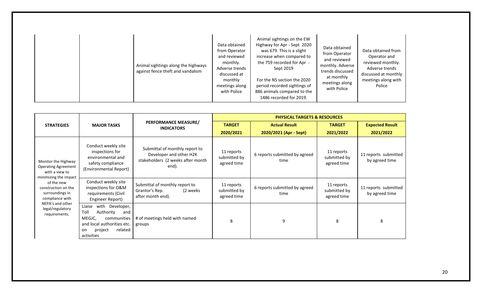|  |  | Animal sightings along the highways<br>against fence theft and vandalism | Data obtained<br>from Operator<br>and reviewed<br>monthly.<br>Adverse trends<br>discussed at<br>monthly<br>meetings along<br>with Police | Animal sightings on the EW<br>Highway for Apr - Sept 2020<br>was 679. This is a slight<br>increase when compared to<br>the 759 recorded for Apr -<br>Sept 2019<br>For the NS section the 2020<br>period recorded sightings of<br>886 animals compared to the<br>1486 recorded for 2019. | Data obtained<br>from Operator<br>and reviewed<br>monthly. Adverse<br>trends discussed<br>at monthly<br>meetings along<br>with Police | Data obtained from<br>Operator and<br>reviewed monthly.<br>Adverse trends<br>discussed at monthly<br>meetings along with<br>Police |
|--|--|--------------------------------------------------------------------------|------------------------------------------------------------------------------------------------------------------------------------------|-----------------------------------------------------------------------------------------------------------------------------------------------------------------------------------------------------------------------------------------------------------------------------------------|---------------------------------------------------------------------------------------------------------------------------------------|------------------------------------------------------------------------------------------------------------------------------------|
|--|--|--------------------------------------------------------------------------|------------------------------------------------------------------------------------------------------------------------------------------|-----------------------------------------------------------------------------------------------------------------------------------------------------------------------------------------------------------------------------------------------------------------------------------------|---------------------------------------------------------------------------------------------------------------------------------------|------------------------------------------------------------------------------------------------------------------------------------|

|                                                                                                                                                                         |                                                                                                                                                           |                                                                                                         | <b>PHYSICAL TARGETS &amp; RESOURCES</b>   |                                       |                                           |                                        |
|-------------------------------------------------------------------------------------------------------------------------------------------------------------------------|-----------------------------------------------------------------------------------------------------------------------------------------------------------|---------------------------------------------------------------------------------------------------------|-------------------------------------------|---------------------------------------|-------------------------------------------|----------------------------------------|
| <b>STRATEGIES</b>                                                                                                                                                       | <b>MAJOR TASKS</b>                                                                                                                                        | PERFORMANCE MEASURE/<br><b>INDICATORS</b>                                                               | <b>TARGET</b>                             | <b>Actual Result</b>                  | <b>TARGET</b>                             | <b>Expected Result</b>                 |
|                                                                                                                                                                         |                                                                                                                                                           |                                                                                                         | 2020/2021                                 | 2020/2021 (Apr - Sept)                | 2021/2022                                 | 2021/2022                              |
| Monitor the Highway<br><b>Operating Agreement</b><br>with a view to<br>minimizing the impact<br>of the new<br>construction on the<br>surroundings in<br>compliance with | Conduct weekly site<br>inspections for<br>environmental and<br>safety compliance<br>(Environmental Report)                                                | Submittal of monthly report to<br>Developer and other H2K<br>stakeholders (2 weeks after month<br>end). | 11 reports<br>submitted by<br>agreed time | 6 reports submitted by agreed<br>time | 11 reports<br>submitted by<br>agreed time | 11 reports submitted<br>by agreed time |
|                                                                                                                                                                         | Conduct weekly site<br>inspections for O&M<br>requirements (Civil<br>Engineer Report)                                                                     | Submittal of monthly report to<br>Grantor's Rep.<br>(2 weeks)<br>after month end).                      | 11 reports<br>submitted by<br>agreed time | 6 reports submitted by agreed<br>time | 11 reports<br>submitted by<br>agreed time | 11 reports submitted<br>by agreed time |
| NEPA's and other<br>legal/regulatory<br>requirements.                                                                                                                   | with<br>Liaise<br>Developer,<br>Toll<br>Authority<br>and<br>communities<br>MEGJC,<br>and local authorities etc.<br>related<br>project<br>on<br>activities | # of meetings held with named<br>groups                                                                 | 8                                         | 9                                     | 8                                         | 8                                      |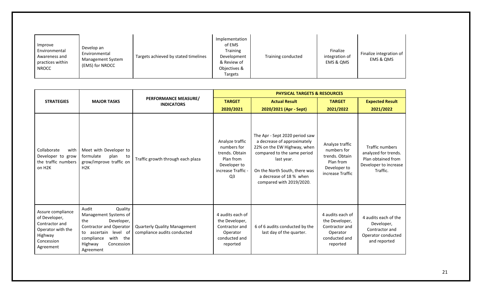| Improve<br>Environmental<br>Awareness and<br>practices within<br><b>NROCC</b> | Develop an<br>Environmental<br>Management System<br>(EMS) for NROCC | Targets achieved by stated timelines | Implementation<br>of EMS<br><b>Training</b><br>Development<br>& Review of<br>Objectives &<br>Targets | Training conducted | Finalize<br>integration of<br>EMS & OMS | Finalize integration of<br>EMS & OMS |
|-------------------------------------------------------------------------------|---------------------------------------------------------------------|--------------------------------------|------------------------------------------------------------------------------------------------------|--------------------|-----------------------------------------|--------------------------------------|
|-------------------------------------------------------------------------------|---------------------------------------------------------------------|--------------------------------------|------------------------------------------------------------------------------------------------------|--------------------|-----------------------------------------|--------------------------------------|

|                                                                                                                 |                                                                                                                                                                                              |                                                                    |                                                                                                                       | <b>PHYSICAL TARGETS &amp; RESOURCES</b>                                                                                                                                                                                           |                                                                                                   |                                                                                                    |
|-----------------------------------------------------------------------------------------------------------------|----------------------------------------------------------------------------------------------------------------------------------------------------------------------------------------------|--------------------------------------------------------------------|-----------------------------------------------------------------------------------------------------------------------|-----------------------------------------------------------------------------------------------------------------------------------------------------------------------------------------------------------------------------------|---------------------------------------------------------------------------------------------------|----------------------------------------------------------------------------------------------------|
| <b>STRATEGIES</b>                                                                                               | <b>MAJOR TASKS</b>                                                                                                                                                                           | PERFORMANCE MEASURE/<br><b>INDICATORS</b>                          | <b>TARGET</b>                                                                                                         | <b>Actual Result</b>                                                                                                                                                                                                              | <b>TARGET</b>                                                                                     | <b>Expected Result</b>                                                                             |
|                                                                                                                 |                                                                                                                                                                                              |                                                                    | 2020/2021                                                                                                             | 2020/2021 (Apr - Sept)                                                                                                                                                                                                            | 2021/2022                                                                                         | 2021/2022                                                                                          |
| Collaborate<br>with<br>Developer to grow<br>the traffic numbers<br>on H <sub>2K</sub>                           | Meet with Developer to<br>formulate<br>plan<br>to<br>grow/improve traffic on<br>H <sub>2</sub> K                                                                                             | Traffic growth through each plaza                                  | Analyze traffic<br>numbers for<br>trends. Obtain<br>Plan from<br>Developer to<br>increase Traffic -<br>Q <sub>3</sub> | The Apr - Sept 2020 period saw<br>a decrease of approximately<br>22% on the EW Highway, when<br>compared to the same period<br>last year.<br>On the North South, there was<br>a decrease of 18 % when<br>compared with 2019/2020. | Analyze traffic<br>numbers for<br>trends. Obtain<br>Plan from<br>Developer to<br>increase Traffic | Traffic numbers<br>analyzed for trends.<br>Plan obtained from<br>Developer to increase<br>Traffic. |
| Assure compliance<br>of Developer,<br>Contractor and<br>Operator with the<br>Highway<br>Concession<br>Agreement | Quality<br>Audit<br>Management Systems of<br>Developer,<br>the<br><b>Contractor and Operator</b><br>to ascertain level of<br>with<br>compliance<br>the<br>Concession<br>Highway<br>Agreement | <b>Quarterly Quality Management</b><br>compliance audits conducted | 4 audits each of<br>the Developer,<br>Contractor and<br>Operator<br>conducted and<br>reported                         | 6 of 6 audits conducted by the<br>last day of the quarter.                                                                                                                                                                        | 4 audits each of<br>the Developer,<br>Contractor and<br>Operator<br>conducted and<br>reported     | 4 audits each of the<br>Developer,<br>Contractor and<br>Operator conducted<br>and reported         |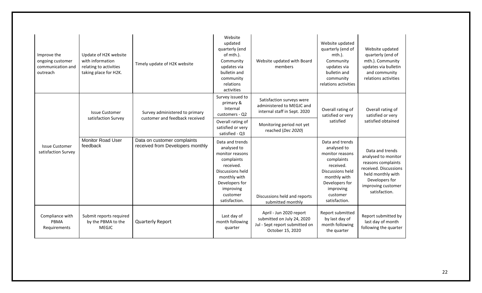| Improve the<br>ongoing customer<br>communication and<br>outreach | Update of H2K website<br>with information<br>relating to activities<br>taking place for H2K. | Timely update of H2K website                                     | Website<br>updated<br>quarterly (end<br>of mth.).<br>Community<br>updates via<br>bulletin and<br>community<br>relations<br>activities                                                          | Website updated with Board<br>members                                                                               | Website updated<br>quarterly (end of<br>$mth$ ).<br>Community<br>updates via<br>bulletin and<br>community<br>relations activities                                            | Website updated<br>quarterly (end of<br>mth.). Community<br>updates via bulletin<br>and community<br>relations activities                                           |
|------------------------------------------------------------------|----------------------------------------------------------------------------------------------|------------------------------------------------------------------|------------------------------------------------------------------------------------------------------------------------------------------------------------------------------------------------|---------------------------------------------------------------------------------------------------------------------|------------------------------------------------------------------------------------------------------------------------------------------------------------------------------|---------------------------------------------------------------------------------------------------------------------------------------------------------------------|
|                                                                  | <b>Issue Customer</b><br>satisfaction Survey                                                 | Survey administered to primary<br>customer and feedback received | Survey issued to<br>primary &<br>Internal<br>customers - Q2<br>Overall rating of<br>satisfied or very                                                                                          | Satisfaction surveys were<br>administered to MEGJC and<br>internal staff in Sept. 2020<br>Monitoring period not yet | Overall rating of<br>satisfied or very<br>satisfied                                                                                                                          | Overall rating of<br>satisfied or very<br>satisfied obtained                                                                                                        |
| <b>Issue Customer</b><br>satisfaction Survey                     | <b>Monitor Road User</b><br>feedback                                                         | Data on customer complaints<br>received from Developers monthly  | satisfied - Q3<br>Data and trends<br>analysed to<br>monitor reasons<br>complaints<br>received.<br>Discussions held<br>monthly with<br>Developers for<br>improving<br>customer<br>satisfaction. | reached (Dec 2020)<br>Discussions held and reports<br>submitted monthly                                             | Data and trends<br>analysed to<br>monitor reasons<br>complaints<br>received.<br>Discussions held<br>monthly with<br>Developers for<br>improving<br>customer<br>satisfaction. | Data and trends<br>analysed to monitor<br>reasons complaints<br>received. Discussions<br>held monthly with<br>Developers for<br>improving customer<br>satisfaction. |
| Compliance with<br>PBMA<br>Requirements                          | Submit reports required<br>by the PBMA to the<br>MEGJC                                       | <b>Quarterly Report</b>                                          | Last day of<br>month following<br>quarter                                                                                                                                                      | April - Jun 2020 report<br>submitted on July 24, 2020<br>Jul - Sept report submitted on<br>October 15, 2020         | Report submitted<br>by last day of<br>month following<br>the quarter                                                                                                         | Report submitted by<br>last day of month<br>following the quarter                                                                                                   |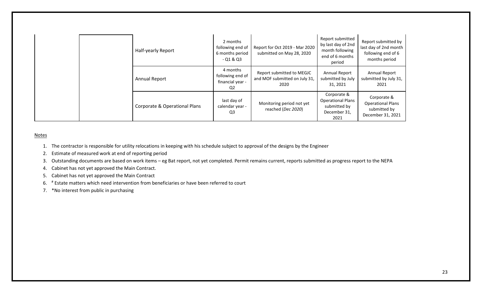|  | Half-yearly Report            | 2 months<br>following end of<br>6 months period<br>$-01 & 03$ | Report for Oct 2019 - Mar 2020<br>submitted on May 28, 2020        | Report submitted<br>by last day of 2nd<br>month following<br>end of 6 months<br>period | Report submitted by<br>last day of 2nd month<br>following end of 6<br>months period |
|--|-------------------------------|---------------------------------------------------------------|--------------------------------------------------------------------|----------------------------------------------------------------------------------------|-------------------------------------------------------------------------------------|
|  | <b>Annual Report</b>          | 4 months<br>following end of<br>financial year -<br>Q2        | Report submitted to MEGJC<br>and MOF submitted on July 31,<br>2020 | Annual Report<br>submitted by July<br>31, 2021                                         | <b>Annual Report</b><br>submitted by July 31,<br>2021                               |
|  | Corporate & Operational Plans | last day of<br>calendar year -<br>Q3                          | Monitoring period not yet<br>reached (Dec 2020)                    | Corporate &<br><b>Operational Plans</b><br>submitted by<br>December 31,<br>2021        | Corporate &<br><b>Operational Plans</b><br>submitted by<br>December 31, 2021        |

#### **Notes**

- 1. The contractor is responsible for utility relocations in keeping with his schedule subject to approval of the designs by the Engineer
- 2. Estimate of measured work at end of reporting period
- 3. Outstanding documents are based on work items eg Bat report, not yet completed. Permit remains current, reports submitted as progress report to the NEPA
- 4. Cabinet has not yet approved the Main Contract.
- 5. Cabinet has not yet approved the Main Contract
- 6. # Estate matters which need intervention from beneficiaries or have been referred to court
- 7. \*No interest from public in purchasing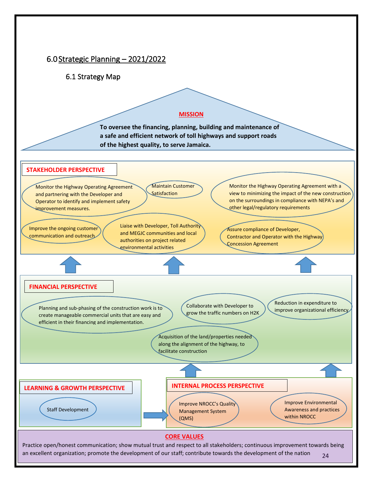<span id="page-23-1"></span><span id="page-23-0"></span>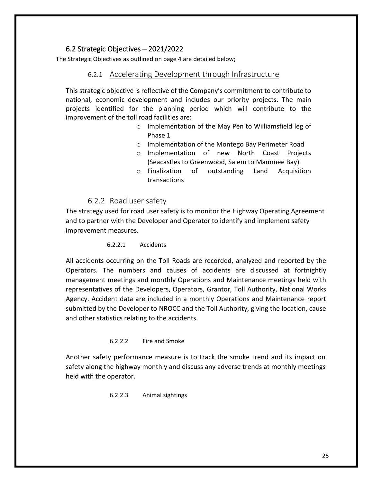#### 6.2 Strategic Objectives – 2021/2022

<span id="page-24-1"></span><span id="page-24-0"></span>The Strategic Objectives as outlined on page 4 are detailed below;

#### 6.2.1 Accelerating Development through Infrastructure

This strategic objective is reflective of the Company's commitment to contribute to national, economic development and includes our priority projects. The main projects identified for the planning period which will contribute to the improvement of the toll road facilities are:

- o Implementation of the May Pen to Williamsfield leg of Phase 1
- o Implementation of the Montego Bay Perimeter Road
- o Implementation of new North Coast Projects (Seacastles to Greenwood, Salem to Mammee Bay)
- o Finalization of outstanding Land Acquisition transactions

#### 6.2.2 Road user safety

<span id="page-24-2"></span>The strategy used for road user safety is to monitor the Highway Operating Agreement and to partner with the Developer and Operator to identify and implement safety improvement measures.

#### 6.2.2.1 Accidents

All accidents occurring on the Toll Roads are recorded, analyzed and reported by the Operators. The numbers and causes of accidents are discussed at fortnightly management meetings and monthly Operations and Maintenance meetings held with representatives of the Developers, Operators, Grantor, Toll Authority, National Works Agency. Accident data are included in a monthly Operations and Maintenance report submitted by the Developer to NROCC and the Toll Authority, giving the location, cause and other statistics relating to the accidents.

#### 6.2.2.2 Fire and Smoke

Another safety performance measure is to track the smoke trend and its impact on safety along the highway monthly and discuss any adverse trends at monthly meetings held with the operator.

6.2.2.3 Animal sightings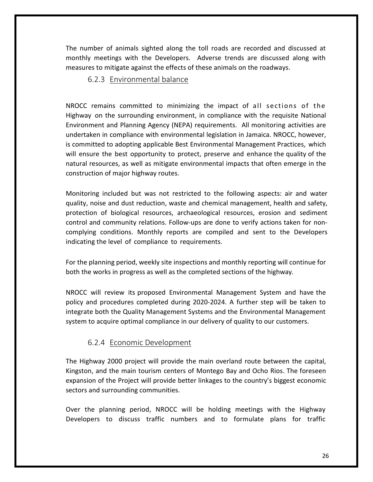<span id="page-25-0"></span>The number of animals sighted along the toll roads are recorded and discussed at monthly meetings with the Developers. Adverse trends are discussed along with measures to mitigate against the effects of these animals on the roadways.

#### 6.2.3 Environmental balance

NROCC remains committed to minimizing the impact of all sections of the Highway on the surrounding environment, in compliance with the requisite National Environment and Planning Agency (NEPA) requirements. All monitoring activities are undertaken in compliance with environmental legislation in Jamaica. NROCC, however, is committed to adopting applicable Best Environmental Management Practices, which will ensure the best opportunity to protect, preserve and enhance the quality of the natural resources, as well as mitigate environmental impacts that often emerge in the construction of major highway routes.

Monitoring included but was not restricted to the following aspects: air and water quality, noise and dust reduction, waste and chemical management, health and safety, protection of biological resources, archaeological resources, erosion and sediment control and community relations. Follow-ups are done to verify actions taken for noncomplying conditions. Monthly reports are compiled and sent to the Developers indicating the level of compliance to requirements.

For the planning period, weekly site inspections and monthly reporting will continue for both the works in progress as well as the completed sections of the highway.

NROCC will review its proposed Environmental Management System and have the policy and procedures completed during 2020-2024. A further step will be taken to integrate both the Quality Management Systems and the Environmental Management system to acquire optimal compliance in our delivery of quality to our customers.

## 6.2.4 Economic Development

<span id="page-25-1"></span>The Highway 2000 project will provide the main overland route between the capital, Kingston, and the main tourism centers of Montego Bay and Ocho Rios. The foreseen expansion of the Project will provide better linkages to the country's biggest economic sectors and surrounding communities.

Over the planning period, NROCC will be holding meetings with the Highway Developers to discuss traffic numbers and to formulate plans for traffic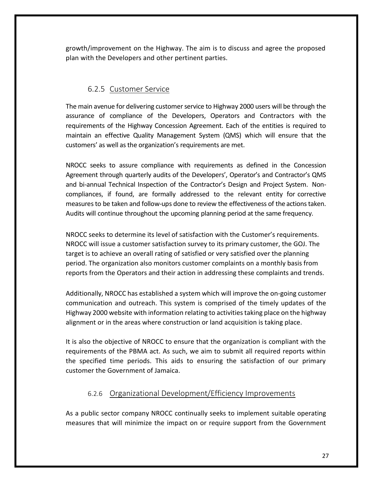growth/improvement on the Highway. The aim is to discuss and agree the proposed plan with the Developers and other pertinent parties.

## 6.2.5 Customer Service

<span id="page-26-0"></span>The main avenue for delivering customer service to Highway 2000 users will be through the assurance of compliance of the Developers, Operators and Contractors with the requirements of the Highway Concession Agreement. Each of the entities is required to maintain an effective Quality Management System (QMS) which will ensure that the customers' as well as the organization's requirements are met.

NROCC seeks to assure compliance with requirements as defined in the Concession Agreement through quarterly audits of the Developers', Operator's and Contractor's QMS and bi-annual Technical Inspection of the Contractor's Design and Project System. Noncompliances, if found, are formally addressed to the relevant entity for corrective measures to be taken and follow-ups done to review the effectiveness of the actions taken. Audits will continue throughout the upcoming planning period at the same frequency.

NROCC seeks to determine its level of satisfaction with the Customer's requirements. NROCC will issue a customer satisfaction survey to its primary customer, the GOJ. The target is to achieve an overall rating of satisfied or very satisfied over the planning period. The organization also monitors customer complaints on a monthly basis from reports from the Operators and their action in addressing these complaints and trends.

Additionally, NROCC has established a system which will improve the on-going customer communication and outreach. This system is comprised of the timely updates of the Highway 2000 website with information relating to activitiestaking place on the highway alignment or in the areas where construction or land acquisition is taking place.

It is also the objective of NROCC to ensure that the organization is compliant with the requirements of the PBMA act. As such, we aim to submit all required reports within the specified time periods. This aids to ensuring the satisfaction of our primary customer the Government of Jamaica.

## 6.2.6 Organizational Development/Efficiency Improvements

<span id="page-26-1"></span>As a public sector company NROCC continually seeks to implement suitable operating measures that will minimize the impact on or require support from the Government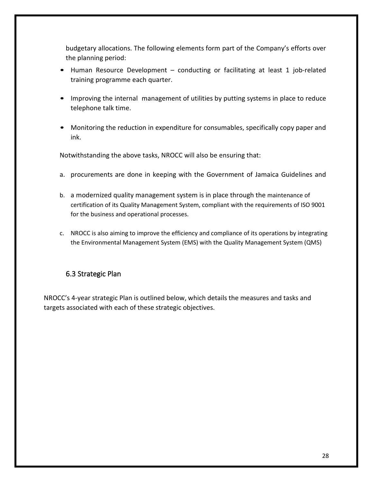budgetary allocations. The following elements form part of the Company's efforts over the planning period:

- Human Resource Development conducting or facilitating at least 1 job-related training programme each quarter.
- Improving the internal management of utilities by putting systems in place to reduce telephone talk time.
- Monitoring the reduction in expenditure for consumables, specifically copy paper and ink.

Notwithstanding the above tasks, NROCC will also be ensuring that:

- a. procurements are done in keeping with the Government of Jamaica Guidelines and
- b. a modernized quality management system is in place through the maintenance of certification of its Quality Management System, compliant with the requirements of ISO 9001 for the business and operational processes.
- c. NROCC is also aiming to improve the efficiency and compliance of its operations by integrating the Environmental Management System (EMS) with the Quality Management System (QMS)

## <span id="page-27-0"></span>6.3 Strategic Plan

NROCC's 4-year strategic Plan is outlined below, which details the measures and tasks and targets associated with each of these strategic objectives.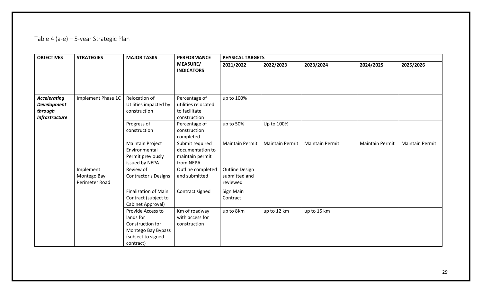# Table 4 (a-e) – 5-year Strategic Plan

<span id="page-28-0"></span>

| <b>OBJECTIVES</b>                                                             | <b>STRATEGIES</b>                          | <b>MAJOR TASKS</b>                                                                                          | <b>PERFORMANCE</b>                                                    | <b>PHYSICAL TARGETS</b>                            |                        |                        |                        |                 |
|-------------------------------------------------------------------------------|--------------------------------------------|-------------------------------------------------------------------------------------------------------------|-----------------------------------------------------------------------|----------------------------------------------------|------------------------|------------------------|------------------------|-----------------|
|                                                                               |                                            |                                                                                                             | <b>MEASURE/</b><br><b>INDICATORS</b>                                  | 2021/2022                                          | 2022/2023              | 2023/2024              | 2024/2025              | 2025/2026       |
| <b>Accelerating</b><br><b>Development</b><br>through<br><b>Infrastructure</b> | Implement Phase 1C                         | Relocation of<br>Utilities impacted by<br>construction                                                      | Percentage of<br>utilities relocated<br>to facilitate<br>construction | up to 100%                                         |                        |                        |                        |                 |
|                                                                               |                                            | Progress of<br>construction                                                                                 | Percentage of<br>construction<br>completed                            | up to 50%                                          | Up to 100%             |                        |                        |                 |
|                                                                               |                                            | <b>Maintain Project</b><br>Environmental<br>Permit previously<br>issued by NEPA                             | Submit required<br>documentation to<br>maintain permit<br>from NEPA   | <b>Maintain Permit</b>                             | <b>Maintain Permit</b> | <b>Maintain Permit</b> | <b>Maintain Permit</b> | Maintain Permit |
|                                                                               | Implement<br>Montego Bay<br>Perimeter Road | Review of<br><b>Contractor's Designs</b>                                                                    | Outline completed<br>and submitted                                    | <b>Outline Design</b><br>submitted and<br>reviewed |                        |                        |                        |                 |
|                                                                               |                                            | <b>Finalization of Main</b><br>Contract (subject to<br>Cabinet Approval)                                    | Contract signed                                                       | Sign Main<br>Contract                              |                        |                        |                        |                 |
|                                                                               |                                            | Provide Access to<br>lands for<br>Construction for<br>Montego Bay Bypass<br>(subject to signed<br>contract) | Km of roadway<br>with access for<br>construction                      | up to 8Km                                          | up to 12 km            | up to 15 km            |                        |                 |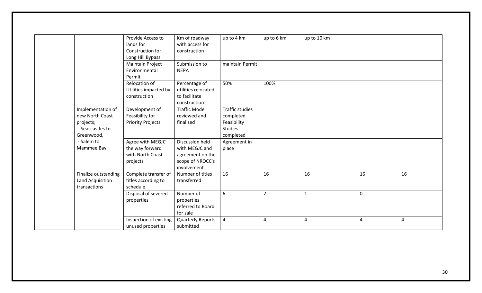|                                                                                     | Provide Access to<br>lands for<br>Construction for                     | Km of roadway<br>with access for<br>construction                                         | up to 4 km                                                                        | up to 6 km     | up to 10 km  |             |                |
|-------------------------------------------------------------------------------------|------------------------------------------------------------------------|------------------------------------------------------------------------------------------|-----------------------------------------------------------------------------------|----------------|--------------|-------------|----------------|
|                                                                                     | Long Hill Bypass<br><b>Maintain Project</b><br>Environmental<br>Permit | Submission to<br><b>NEPA</b>                                                             | maintain Permit                                                                   |                |              |             |                |
|                                                                                     | Relocation of<br>Utilities impacted by<br>construction                 | Percentage of<br>utilities relocated<br>to facilitate<br>construction                    | 50%                                                                               | 100%           |              |             |                |
| Implementation of<br>new North Coast<br>projects;<br>- Seascastles to<br>Greenwood, | Development of<br>Feasibility for<br><b>Priority Projects</b>          | <b>Traffic Model</b><br>reviewed and<br>finalized                                        | <b>Traffic studies</b><br>completed<br>Feasibility<br><b>Studies</b><br>completed |                |              |             |                |
| - Salem to<br>Mammee Bay                                                            | Agree with MEGJC<br>the way forward<br>with North Coast<br>projects    | Discussion held<br>with MEGJC and<br>agreement on the<br>scope of NROCC's<br>involvement | Agreement in<br>place                                                             |                |              |             |                |
| Finalize outstanding<br>Land Acquisition<br>transactions                            | Complete transfer of<br>titles according to<br>schedule.               | Number of titles<br>transferred                                                          | 16                                                                                | 16             | 16           | 16          | 16             |
|                                                                                     | Disposal of severed<br>properties                                      | Number of<br>properties<br>referred to Board<br>for sale                                 | 6                                                                                 | $\overline{2}$ | $\mathbf{1}$ | $\mathbf 0$ |                |
|                                                                                     | Inspection of existing<br>unused properties                            | <b>Quarterly Reports</b><br>submitted                                                    | $\overline{4}$                                                                    | $\overline{4}$ | 4            | 4           | $\overline{4}$ |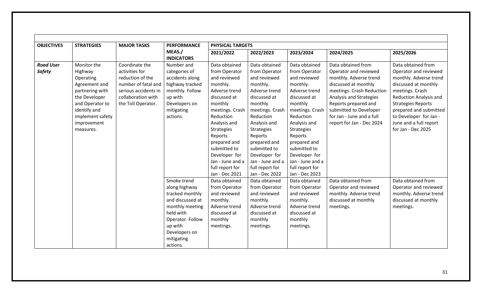| <b>OBJECTIVES</b> | <b>STRATEGIES</b> | <b>MAJOR TASKS</b>   | <b>PERFORMANCE</b>          | <b>PHYSICAL TARGETS</b> |                   |                  |                           |                               |
|-------------------|-------------------|----------------------|-----------------------------|-------------------------|-------------------|------------------|---------------------------|-------------------------------|
|                   |                   |                      | MEAS./<br><b>INDICATORS</b> | 2021/2022               | 2022/2023         | 2023/2024        | 2024/2025                 | 2025/2026                     |
| <b>Road User</b>  | Monitor the       | Coordinate the       | Number and                  | Data obtained           | Data obtained     | Data obtained    | Data obtained from        | Data obtained from            |
| <b>Safety</b>     | Highway           | activities for       | categories of               | from Operator           | from Operator     | from Operator    | Operator and reviewed     | Operator and reviewed         |
|                   | Operating         | reduction of the     | accidents along             | and reviewed            | and reviewed      | and reviewed     | monthly. Adverse trend    | monthly. Adverse trend        |
|                   | Agreement and     | number of fatal and  | highway tracked             | monthly.                | monthly.          | monthly.         | discussed at monthly      | discussed at monthly          |
|                   | partnering with   | serious accidents in | monthly. Follow             | Adverse trend           | Adverse trend     | Adverse trend    | meetings. Crash Reduction | meetings. Crash               |
|                   | the Developer     | collaboration with   | up with                     | discussed at            | discussed at      | discussed at     | Analysis and Strategies   | <b>Reduction Analysis and</b> |
|                   | and Operator to   | the Toll Operator.   | Developers on               | monthly                 | monthly           | monthly          | Reports prepared and      | <b>Strategies Reports</b>     |
|                   | identify and      |                      | mitigating                  | meetings. Crash         | meetings. Crash   | meetings. Crash  | submitted to Developer    | prepared and submitted        |
|                   | implement safety  |                      | actions.                    | Reduction               | Reduction         | Reduction        | for Jan - June and a full | to Developer for Jan -        |
|                   | improvement       |                      |                             | Analysis and            | Analysis and      | Analysis and     | report for Jan - Dec 2024 | June and a full report        |
|                   | measures.         |                      |                             | Strategies              | <b>Strategies</b> | Strategies       |                           | for Jan - Dec 2025            |
|                   |                   |                      |                             | Reports                 | Reports           | Reports          |                           |                               |
|                   |                   |                      |                             | prepared and            | prepared and      | prepared and     |                           |                               |
|                   |                   |                      |                             | submitted to            | submitted to      | submitted to     |                           |                               |
|                   |                   |                      |                             | Developer for           | Developer for     | Developer for    |                           |                               |
|                   |                   |                      |                             | Jan - June and a        | Jan - June and a  | Jan - June and a |                           |                               |
|                   |                   |                      |                             | full report for         | full report for   | full report for  |                           |                               |
|                   |                   |                      |                             | Jan - Dec 2021          | Jan - Dec 2022    | Jan - Dec 2023   |                           |                               |
|                   |                   |                      | Smoke trend                 | Data obtained           | Data obtained     | Data obtained    | Data obtained from        | Data obtained from            |
|                   |                   |                      | along highway               | from Operator           | from Operator     | from Operator    | Operator and reviewed     | Operator and reviewed         |
|                   |                   |                      | tracked monthly             | and reviewed            | and reviewed      | and reviewed     | monthly. Adverse trend    | monthly. Adverse trend        |
|                   |                   |                      | and discussed at            | monthly.                | monthly.          | monthly.         | discussed at monthly      | discussed at monthly          |
|                   |                   |                      | monthly meeting             | Adverse trend           | Adverse trend     | Adverse trend    | meetings.                 | meetings.                     |
|                   |                   |                      | held with                   | discussed at            | discussed at      | discussed at     |                           |                               |
|                   |                   |                      | Operator. Follow            | monthly                 | monthly           | monthly          |                           |                               |
|                   |                   |                      | up with                     | meetings.               | meetings.         | meetings.        |                           |                               |
|                   |                   |                      | Developers on               |                         |                   |                  |                           |                               |
|                   |                   |                      | mitigating                  |                         |                   |                  |                           |                               |
|                   |                   |                      | actions.                    |                         |                   |                  |                           |                               |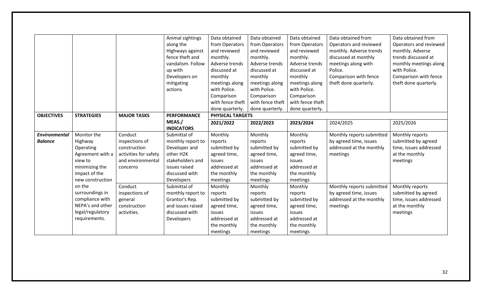|                      |                   |                       | Animal sightings   | Data obtained    | Data obtained    | Data obtained    | Data obtained from        | Data obtained from     |
|----------------------|-------------------|-----------------------|--------------------|------------------|------------------|------------------|---------------------------|------------------------|
|                      |                   |                       | along the          | from Operators   | from Operators   | from Operators   | Operators and reviewed    | Operators and reviewed |
|                      |                   |                       | Highways against   | and reviewed     | and reviewed     | and reviewed     | monthly. Adverse trends   | monthly. Adverse       |
|                      |                   |                       | fence theft and    | monthly.         | monthly.         | monthly.         | discussed at monthly      | trends discussed at    |
|                      |                   |                       | vandalism. Follow  | Adverse trends   | Adverse trends   | Adverse trends   | meetings along with       | monthly meetings along |
|                      |                   |                       | up with            | discussed at     | discussed at     | discussed at     | Police.                   | with Police.           |
|                      |                   |                       | Developers on      | monthly          | monthly          | monthly          | Comparison with fence     | Comparison with fence  |
|                      |                   |                       | mitigating         | meetings along   | meetings along   | meetings along   | theft done quarterly.     | theft done quarterly.  |
|                      |                   |                       | actions.           | with Police.     | with Police.     | with Police.     |                           |                        |
|                      |                   |                       |                    | Comparison       | Comparison       | Comparison       |                           |                        |
|                      |                   |                       |                    | with fence theft | with fence theft | with fence theft |                           |                        |
|                      |                   |                       |                    | done quarterly.  | done quarterly.  | done quarterly.  |                           |                        |
| <b>OBJECTIVES</b>    | <b>STRATEGIES</b> | <b>MAJOR TASKS</b>    | <b>PERFORMANCE</b> | PHYSICAL TARGETS |                  |                  |                           |                        |
|                      |                   |                       | MEAS./             | 2021/2022        | 2022/2023        | 2023/2024        | 2024/2025                 | 2025/2026              |
|                      |                   |                       | <b>INDICATORS</b>  |                  |                  |                  |                           |                        |
| <b>Environmental</b> | Monitor the       | Conduct               | Submittal of       | Monthly          | Monthly          | Monthly          | Monthly reports submitted | Monthly reports        |
| <b>Balance</b>       | Highway           | inspections of        | monthly report to  | reports          | reports          | reports          | by agreed time, issues    | submitted by agreed    |
|                      | Operating         | construction          | Developer and      | submitted by     | submitted by     | submitted by     | addressed at the monthly  | time, issues addressed |
|                      | Agreement with a  | activities for safety | other H2K          | agreed time,     | agreed time,     | agreed time,     | meetings                  | at the monthly         |
|                      | view to           | and environmental     | stakeholders and   | issues           | issues           | issues           |                           | meetings               |
|                      | minimizing the    | concerns              | issues raised      | addressed at     | addressed at     | addressed at     |                           |                        |
|                      | impact of the     |                       | discussed with     | the monthly      | the monthly      | the monthly      |                           |                        |
|                      | new construction  |                       | Developers         | meetings         | meetings         | meetings         |                           |                        |
|                      | on the            | Conduct               | Submittal of       | Monthly          | Monthly          | Monthly          | Monthly reports submitted | Monthly reports        |
|                      | surroundings in   | inspections of        | monthly report to  | reports          | reports          | reports          | by agreed time, issues    | submitted by agreed    |
|                      | compliance with   | general               | Grantor's Rep.     | submitted by     | submitted by     | submitted by     | addressed at the monthly  | time, issues addressed |
|                      | NEPA's and other  | construction          | and issues raised  | agreed time,     | agreed time,     | agreed time,     | meetings                  | at the monthly         |
|                      | legal/regulatory  | activities.           | discussed with     | issues           | issues           | <b>issues</b>    |                           | meetings               |
|                      | requirements.     |                       | Developers         | addressed at     | addressed at     | addressed at     |                           |                        |
|                      |                   |                       |                    | the monthly      | the monthly      | the monthly      |                           |                        |
|                      |                   |                       |                    | meetings         | meetings         | meetings         |                           |                        |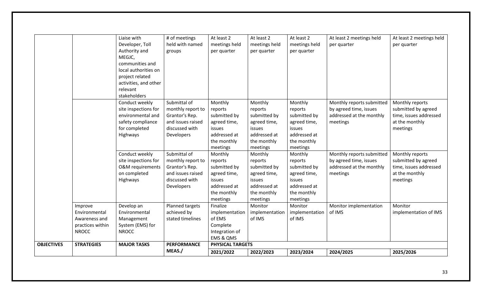|                   |                                           |                                                                                                                                                                              | MEAS./                                                                                                   | 2021/2022                                                                                               | 2022/2023                                                                                               | 2023/2024                                                                                                      | 2024/2025                                                                                   | 2025/2026                                                                                      |
|-------------------|-------------------------------------------|------------------------------------------------------------------------------------------------------------------------------------------------------------------------------|----------------------------------------------------------------------------------------------------------|---------------------------------------------------------------------------------------------------------|---------------------------------------------------------------------------------------------------------|----------------------------------------------------------------------------------------------------------------|---------------------------------------------------------------------------------------------|------------------------------------------------------------------------------------------------|
| <b>OBJECTIVES</b> | <b>STRATEGIES</b>                         | <b>MAJOR TASKS</b>                                                                                                                                                           | <b>PERFORMANCE</b>                                                                                       | <b>PHYSICAL TARGETS</b>                                                                                 |                                                                                                         |                                                                                                                |                                                                                             |                                                                                                |
|                   | practices within<br><b>NROCC</b>          | System (EMS) for<br><b>NROCC</b>                                                                                                                                             |                                                                                                          | Complete<br>Integration of<br>EMS & QMS                                                                 |                                                                                                         |                                                                                                                |                                                                                             |                                                                                                |
|                   | Improve<br>Environmental<br>Awareness and | Develop an<br>Environmental<br>Management                                                                                                                                    | Planned targets<br>achieved by<br>stated timelines                                                       | Finalize<br>implementation<br>of EMS                                                                    | Monitor<br>implementation<br>of IMS                                                                     | Monitor<br>implementation<br>of IMS                                                                            | Monitor implementation<br>of IMS                                                            | Monitor<br>implementation of IMS                                                               |
|                   |                                           | Conduct weekly<br>site inspections for<br><b>O&amp;M</b> requirements<br>on completed<br>Highways                                                                            | Submittal of<br>monthly report to<br>Grantor's Rep.<br>and issues raised<br>discussed with<br>Developers | Monthly<br>reports<br>submitted by<br>agreed time,<br>issues<br>addressed at<br>the monthly<br>meetings | Monthly<br>reports<br>submitted by<br>agreed time,<br>issues<br>addressed at<br>the monthly<br>meetings | Monthly<br>reports<br>submitted by<br>agreed time,<br>issues<br>addressed at<br>the monthly<br>meetings        | Monthly reports submitted<br>by agreed time, issues<br>addressed at the monthly<br>meetings | Monthly reports<br>submitted by agreed<br>time, issues addressed<br>at the monthly<br>meetings |
|                   |                                           | Conduct weekly<br>site inspections for<br>environmental and<br>safety compliance<br>for completed<br>Highways                                                                | Submittal of<br>monthly report to<br>Grantor's Rep.<br>and issues raised<br>discussed with<br>Developers | Monthly<br>reports<br>submitted by<br>agreed time,<br>issues<br>addressed at<br>the monthly<br>meetings | Monthly<br>reports<br>submitted by<br>agreed time,<br>issues<br>addressed at<br>the monthly<br>meetings | Monthly<br>reports<br>submitted by<br>agreed time,<br><b>issues</b><br>addressed at<br>the monthly<br>meetings | Monthly reports submitted<br>by agreed time, issues<br>addressed at the monthly<br>meetings | Monthly reports<br>submitted by agreed<br>time, issues addressed<br>at the monthly<br>meetings |
|                   |                                           | Liaise with<br>Developer, Toll<br>Authority and<br>MEGJC,<br>communities and<br>local authorities on<br>project related<br>activities, and other<br>relevant<br>stakeholders | # of meetings<br>held with named<br>groups                                                               | At least 2<br>meetings held<br>per quarter                                                              | At least 2<br>meetings held<br>per quarter                                                              | At least 2<br>meetings held<br>per quarter                                                                     | At least 2 meetings held<br>per quarter                                                     | At least 2 meetings held<br>per quarter                                                        |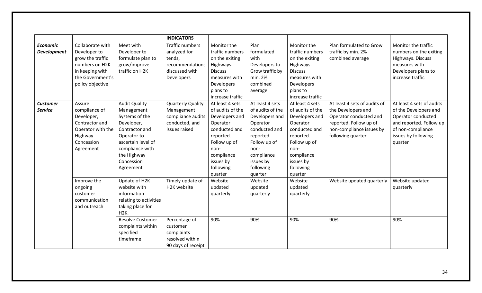|                    |                   |                         | <b>INDICATORS</b>        |                  |                  |                  |                              |                           |
|--------------------|-------------------|-------------------------|--------------------------|------------------|------------------|------------------|------------------------------|---------------------------|
| <b>Economic</b>    | Collaborate with  | Meet with               | <b>Traffic numbers</b>   | Monitor the      | Plan             | Monitor the      | Plan formulated to Grow      | Monitor the traffic       |
| <b>Development</b> | Developer to      | Developer to            | analyzed for             | traffic numbers  | formulated       | traffic numbers  | traffic by min. 2%           | numbers on the exiting    |
|                    | grow the traffic  | formulate plan to       | tends,                   | on the exiting   | with             | on the exiting   | combined average             | Highways. Discuss         |
|                    | numbers on H2K    | grow/improve            | recommendations          | Highways.        | Developers to    | Highways.        |                              | measures with             |
|                    | in keeping with   | traffic on H2K          | discussed with           | <b>Discuss</b>   | Grow traffic by  | <b>Discuss</b>   |                              | Developers plans to       |
|                    | the Government's  |                         | Developers               | measures with    | min. 2%          | measures with    |                              | increase traffic          |
|                    | policy objective  |                         |                          | Developers       | combined         | Developers       |                              |                           |
|                    |                   |                         |                          | plans to         | average          | plans to         |                              |                           |
|                    |                   |                         |                          | increase traffic |                  | increase traffic |                              |                           |
| <b>Customer</b>    | Assure            | <b>Audit Quality</b>    | <b>Quarterly Quality</b> | At least 4 sets  | At least 4 sets  | At least 4 sets  | At least 4 sets of audits of | At least 4 sets of audits |
| <b>Service</b>     | compliance of     | Management              | Management               | of audits of the | of audits of the | of audits of the | the Developers and           | of the Developers and     |
|                    | Developer,        | Systems of the          | compliance audits        | Developers and   | Developers and   | Developers and   | Operator conducted and       | Operator conducted        |
|                    | Contractor and    | Developer,              | conducted, and           | Operator         | Operator         | Operator         | reported. Follow up of       | and reported. Follow up   |
|                    | Operator with the | Contractor and          | issues raised            | conducted and    | conducted and    | conducted and    | non-compliance issues by     | of non-compliance         |
|                    | Highway           | Operator to             |                          | reported.        | reported.        | reported.        | following quarter            | issues by following       |
|                    | Concession        | ascertain level of      |                          | Follow up of     | Follow up of     | Follow up of     |                              | quarter                   |
|                    | Agreement         | compliance with         |                          | non-             | non-             | non-             |                              |                           |
|                    |                   | the Highway             |                          | compliance       | compliance       | compliance       |                              |                           |
|                    |                   | Concession              |                          | issues by        | issues by        | issues by        |                              |                           |
|                    |                   | Agreement               |                          | following        | following        | following        |                              |                           |
|                    |                   |                         |                          | quarter          | quarter          | quarter          |                              |                           |
|                    | Improve the       | Update of H2K           | Timely update of         | Website          | Website          | Website          | Website updated quarterly    | Website updated           |
|                    | ongoing           | website with            | H2K website              | updated          | updated          | updated          |                              | quarterly                 |
|                    | customer          | information             |                          | quarterly        | quarterly        | quarterly        |                              |                           |
|                    | communication     | relating to activities  |                          |                  |                  |                  |                              |                           |
|                    | and outreach      | taking place for        |                          |                  |                  |                  |                              |                           |
|                    |                   | H2K.                    |                          |                  |                  |                  |                              |                           |
|                    |                   | <b>Resolve Customer</b> | Percentage of            | 90%              | 90%              | 90%              | 90%                          | 90%                       |
|                    |                   | complaints within       | customer                 |                  |                  |                  |                              |                           |
|                    |                   | specified               | complaints               |                  |                  |                  |                              |                           |
|                    |                   | timeframe               | resolved within          |                  |                  |                  |                              |                           |
|                    |                   |                         | 90 days of receipt       |                  |                  |                  |                              |                           |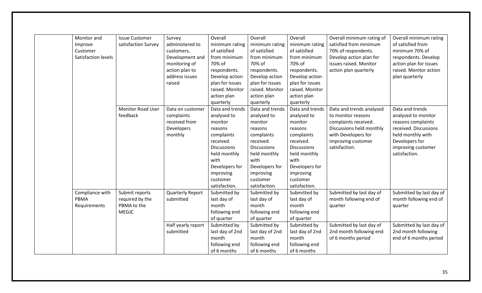| Monitor and         | <b>Issue Customer</b> | Survey                  | Overall            | Overall            | Overall            | Overall minimum rating of | Overall minimum rating   |
|---------------------|-----------------------|-------------------------|--------------------|--------------------|--------------------|---------------------------|--------------------------|
| Improve             | satisfaction Survey   | administered to         | minimum rating     | minimum rating     | minimum rating     | satisfied from minimum    | of satisfied from        |
| Customer            |                       | customers.              | of satisfied       | of satisfied       | of satisfied       | 70% of respondents.       | minimum 70% of           |
| Satisfaction levels |                       | Development and         | from minimum       | from minimum       | from minimum       | Develop action plan for   | respondents. Develop     |
|                     |                       | monitoring of           | 70% of             | 70% of             | 70% of             | issues raised. Monitor    | action plan for issues   |
|                     |                       | action plan to          | respondents.       | respondents.       | respondents.       | action plan quarterly     | raised. Monitor action   |
|                     |                       | address issues          | Develop action     | Develop action     | Develop action     |                           | plan quarterly           |
|                     |                       | raised                  | plan for issues    | plan for issues    | plan for issues    |                           |                          |
|                     |                       |                         | raised. Monitor    | raised. Monitor    | raised. Monitor    |                           |                          |
|                     |                       |                         | action plan        | action plan        | action plan        |                           |                          |
|                     |                       |                         | quarterly          | quarterly          | quarterly          |                           |                          |
|                     | Monitor Road User     | Data on customer        | Data and trends    | Data and trends    | Data and trends    | Data and trends analysed  | Data and trends          |
|                     | feedback              | complaints              | analysed to        | analysed to        | analysed to        | to monitor reasons        | analysed to monitor      |
|                     |                       | received from           | monitor            | monitor            | monitor            | complaints received.      | reasons complaints       |
|                     |                       | Developers              | reasons            | reasons            | reasons            | Discussions held monthly  | received. Discussions    |
|                     |                       | monthly                 | complaints         | complaints         | complaints         | with Developers for       | held monthly with        |
|                     |                       |                         | received.          | received.          | received.          | improving customer        | Developers for           |
|                     |                       |                         | <b>Discussions</b> | <b>Discussions</b> | <b>Discussions</b> | satisfaction.             | improving customer       |
|                     |                       |                         | held monthly       | held monthly       | held monthly       |                           | satisfaction.            |
|                     |                       |                         | with               | with               | with               |                           |                          |
|                     |                       |                         | Developers for     | Developers for     | Developers for     |                           |                          |
|                     |                       |                         | improving          | improving          | improving          |                           |                          |
|                     |                       |                         | customer           | customer           | customer           |                           |                          |
|                     |                       |                         | satisfaction.      | satisfaction.      | satisfaction.      |                           |                          |
| Compliance with     | Submit reports        | <b>Quarterly Report</b> | Submitted by       | Submitted by       | Submitted by       | Submitted by last day of  | Submitted by last day of |
| PBMA                | required by the       | submitted               | last day of        | last day of        | last day of        | month following end of    | month following end of   |
| Requirements        | PBMA to the           |                         | month              | month              | month              | quarter                   | quarter                  |
|                     | <b>MEGJC</b>          |                         | following end      | following end      | following end      |                           |                          |
|                     |                       |                         | of quarter         | of quarter         | of quarter         |                           |                          |
|                     |                       | Half yearly report      | Submitted by       | Submitted by       | Submitted by       | Submitted by last day of  | Submitted by last day of |
|                     |                       | submitted               | last day of 2nd    | last day of 2nd    | last day of 2nd    | 2nd month following end   | 2nd month following      |
|                     |                       |                         | month              | month              | month              | of 6 months period        | end of 6 months period   |
|                     |                       |                         | following end      | following end      | following end      |                           |                          |
|                     |                       |                         | of 6 months        | of 6 months        | of 6 months        |                           |                          |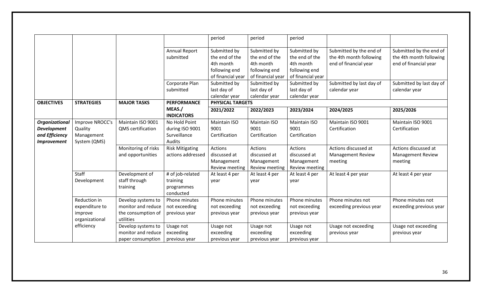|                                                                              |                                                             |                                                                             |                                                            | period                                                            | period                                                                | period                                                            |                                                                             |                                                                             |
|------------------------------------------------------------------------------|-------------------------------------------------------------|-----------------------------------------------------------------------------|------------------------------------------------------------|-------------------------------------------------------------------|-----------------------------------------------------------------------|-------------------------------------------------------------------|-----------------------------------------------------------------------------|-----------------------------------------------------------------------------|
|                                                                              |                                                             |                                                                             | Annual Report<br>submitted                                 | Submitted by<br>the end of the<br>4th month<br>following end      | Submitted by<br>the end of the<br>4th month<br>following end          | Submitted by<br>the end of the<br>4th month<br>following end      | Submitted by the end of<br>the 4th month following<br>end of financial year | Submitted by the end of<br>the 4th month following<br>end of financial year |
|                                                                              |                                                             |                                                                             | Corporate Plan<br>submitted                                | of financial year<br>Submitted by<br>last day of<br>calendar year | of financial year<br>Submitted by<br>last day of<br>calendar year     | of financial year<br>Submitted by<br>last day of<br>calendar year | Submitted by last day of<br>calendar year                                   | Submitted by last day of<br>calendar year                                   |
| <b>OBJECTIVES</b>                                                            | <b>STRATEGIES</b>                                           | <b>MAJOR TASKS</b>                                                          | <b>PERFORMANCE</b>                                         | <b>PHYSICAL TARGETS</b>                                           |                                                                       |                                                                   |                                                                             |                                                                             |
|                                                                              |                                                             |                                                                             | MEAS./<br><b>INDICATORS</b>                                | 2021/2022                                                         | 2022/2023                                                             | 2023/2024                                                         | 2024/2025                                                                   | 2025/2026                                                                   |
| Organizational<br><b>Development</b><br>and Efficiency<br><b>Improvement</b> | Improve NROCC's<br>Quality<br>Management<br>System (QMS)    | Maintain ISO 9001<br>QMS certification                                      | No Hold Point<br>during ISO 9001<br>Surveillance<br>Audits | <b>Maintain ISO</b><br>9001<br>Certification                      | Maintain ISO<br>9001<br>Certification                                 | Maintain ISO<br>9001<br>Certification                             | Maintain ISO 9001<br>Certification                                          | Maintain ISO 9001<br>Certification                                          |
|                                                                              |                                                             | Monitoring of risks<br>and opportunities                                    | <b>Risk Mitigating</b><br>actions addressed                | Actions<br>discussed at<br>Management<br><b>Review meeting</b>    | <b>Actions</b><br>discussed at<br>Management<br><b>Review meeting</b> | <b>Actions</b><br>discussed at<br>Management<br>Review meeting    | Actions discussed at<br><b>Management Review</b><br>meeting                 | Actions discussed at<br><b>Management Review</b><br>meeting                 |
|                                                                              | Staff<br>Development                                        | Development of<br>staff through<br>training                                 | # of job-related<br>training<br>programmes<br>conducted    | At least 4 per<br>year                                            | At least 4 per<br>year                                                | At least 4 per<br>year                                            | At least 4 per year                                                         | At least 4 per year                                                         |
|                                                                              | Reduction in<br>expenditure to<br>improve<br>organizational | Develop systems to<br>monitor and reduce<br>the consumption of<br>utilities | Phone minutes<br>not exceeding<br>previous year            | Phone minutes<br>not exceeding<br>previous year                   | Phone minutes<br>not exceeding<br>previous year                       | Phone minutes<br>not exceeding<br>previous year                   | Phone minutes not<br>exceeding previous year                                | Phone minutes not<br>exceeding previous year                                |
|                                                                              | efficiency                                                  | Develop systems to<br>monitor and reduce<br>paper consumption               | Usage not<br>exceeding<br>previous year                    | Usage not<br>exceeding<br>previous year                           | Usage not<br>exceeding<br>previous year                               | Usage not<br>exceeding<br>previous year                           | Usage not exceeding<br>previous year                                        | Usage not exceeding<br>previous year                                        |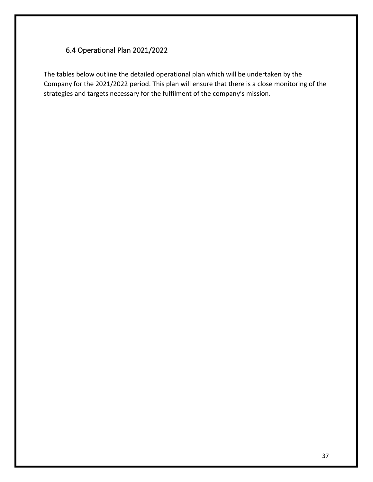# <span id="page-36-0"></span>6.4 Operational Plan 2021/2022

The tables below outline the detailed operational plan which will be undertaken by the Company for the 2021/2022 period. This plan will ensure that there is a close monitoring of the strategies and targets necessary for the fulfilment of the company's mission.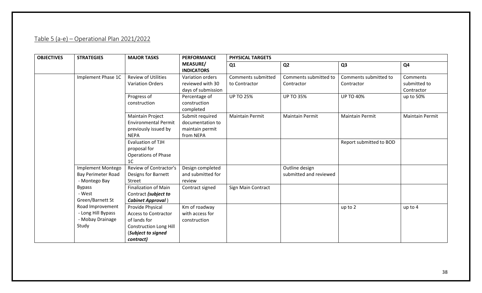# Table 5 (a-e) – Operational Plan 2021/2022

<span id="page-37-0"></span>

| <b>OBJECTIVES</b> | <b>STRATEGIES</b>                                                   | <b>MAJOR TASKS</b>                                                                                                                  | <b>PERFORMANCE</b>                                                  | PHYSICAL TARGETS                    |                                          |                                     |                                        |
|-------------------|---------------------------------------------------------------------|-------------------------------------------------------------------------------------------------------------------------------------|---------------------------------------------------------------------|-------------------------------------|------------------------------------------|-------------------------------------|----------------------------------------|
|                   |                                                                     |                                                                                                                                     | <b>MEASURE/</b><br><b>INDICATORS</b>                                | Q1                                  | Q <sub>2</sub>                           | Q <sub>3</sub>                      | Q4                                     |
|                   | Implement Phase 1C                                                  | <b>Review of Utilities</b><br><b>Variation Orders</b>                                                                               | Variation orders<br>reviewed with 30<br>days of submission          | Comments submitted<br>to Contractor | Comments submitted to<br>Contractor      | Comments submitted to<br>Contractor | Comments<br>submitted to<br>Contractor |
|                   |                                                                     | Progress of<br>construction                                                                                                         | Percentage of<br>construction<br>completed                          | <b>UP TO 25%</b>                    | <b>UP TO 35%</b>                         | <b>UP TO 40%</b>                    | up to 50%                              |
|                   |                                                                     | <b>Maintain Project</b><br><b>Environmental Permit</b><br>previously issued by<br><b>NEPA</b>                                       | Submit required<br>documentation to<br>maintain permit<br>from NEPA | <b>Maintain Permit</b>              | <b>Maintain Permit</b>                   | <b>Maintain Permit</b>              | <b>Maintain Permit</b>                 |
|                   |                                                                     | Evaluation of TJH<br>proposal for<br><b>Operations of Phase</b><br>1 <sup>C</sup>                                                   |                                                                     |                                     |                                          | Report submitted to BOD             |                                        |
|                   | Implement Montego<br><b>Bay Perimeter Road</b><br>- Montego Bay     | Review of Contractor's<br>Designs for Barnett<br>Street                                                                             | Design completed<br>and submitted for<br>review                     |                                     | Outline design<br>submitted and reviewed |                                     |                                        |
|                   | <b>Bypass</b><br>- West<br>Green/Barnett St                         | <b>Finalization of Main</b><br>Contract (subject to<br><b>Cabinet Approval</b> )                                                    | Contract signed                                                     | Sign Main Contract                  |                                          |                                     |                                        |
|                   | Road Improvement<br>- Long Hill Bypass<br>- Mobay Drainage<br>Study | Provide Physical<br><b>Access to Contractor</b><br>of lands for<br><b>Construction Long Hill</b><br>(Subject to signed<br>contract) | Km of roadway<br>with access for<br>construction                    |                                     |                                          | up to 2                             | up to 4                                |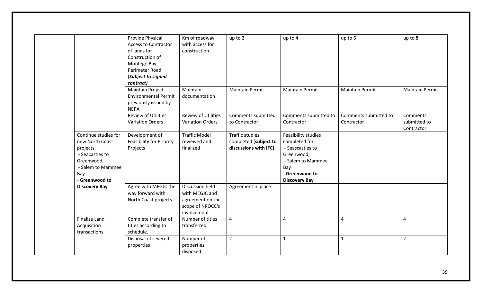|                                                                                                                                     | Provide Physical<br><b>Access to Contractor</b><br>of lands for<br>Construction of<br>Montego Bay<br>Perimeter Road<br>(Subject to signed<br>contract) | Km of roadway<br>with access for<br>construction                                         | up to 2                                                                  | up to 4                                                                                                                                      | up to 6                             | up to 8                                |
|-------------------------------------------------------------------------------------------------------------------------------------|--------------------------------------------------------------------------------------------------------------------------------------------------------|------------------------------------------------------------------------------------------|--------------------------------------------------------------------------|----------------------------------------------------------------------------------------------------------------------------------------------|-------------------------------------|----------------------------------------|
|                                                                                                                                     | <b>Maintain Project</b><br><b>Environmental Permit</b><br>previously issued by<br><b>NEPA</b>                                                          | Maintain<br>documentation                                                                | <b>Maintain Permit</b>                                                   | <b>Maintain Permit</b>                                                                                                                       | <b>Maintain Permit</b>              | <b>Maintain Permit</b>                 |
|                                                                                                                                     | <b>Review of Utilities</b><br><b>Variation Orders</b>                                                                                                  | <b>Review of Utilities</b><br><b>Variation Orders</b>                                    | Comments submitted<br>to Contractor                                      | Comments submitted to<br>Contractor                                                                                                          | Comments submitted to<br>Contractor | Comments<br>submitted to<br>Contractor |
| Continue studies for<br>new North Coast<br>projects;<br>- Seacastles to<br>Greenwood,<br>- Salem to Mammee<br>Bay<br>- Greenwood to | Development of<br><b>Feasibility for Priority</b><br>Projects                                                                                          | <b>Traffic Model</b><br>reviewed and<br>finalized                                        | <b>Traffic studies</b><br>completed (subject to<br>discussions with IFC) | Feasibility studies<br>completed for<br>- Seascastles to<br>Greenwood,<br>- Salem to Mammee<br>Bay<br>- Greenwood to<br><b>Discovery Bay</b> |                                     |                                        |
| <b>Discovery Bay</b>                                                                                                                | Agree with MEGJC the<br>way forward with<br>North Coast projects                                                                                       | Discussion held<br>with MEGJC and<br>agreement on the<br>scope of NROCC's<br>involvement | Agreement in place                                                       |                                                                                                                                              |                                     |                                        |
| Finalize Land<br>Acquisition<br>transactions                                                                                        | Complete transfer of<br>titles according to<br>schedule.                                                                                               | Number of titles<br>transferred                                                          | $\overline{4}$                                                           | $\overline{4}$                                                                                                                               | 4                                   | $\overline{4}$                         |
|                                                                                                                                     | Disposal of severed<br>properties                                                                                                                      | Number of<br>properties<br>disposed                                                      | $\overline{2}$                                                           | $\mathbf{1}$                                                                                                                                 | $\mathbf{1}$                        | $\overline{2}$                         |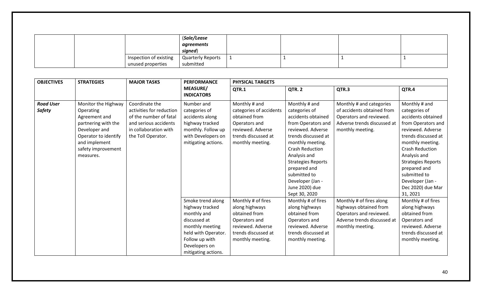|  |                        | (Sale/Lease              |  |  |
|--|------------------------|--------------------------|--|--|
|  |                        | agreements               |  |  |
|  |                        | signed)                  |  |  |
|  | Inspection of existing | <b>Quarterly Reports</b> |  |  |
|  | unused properties      | submitted                |  |  |

| <b>OBJECTIVES</b>                 | <b>STRATEGIES</b>                                                                                                | <b>MAJOR TASKS</b>                                                   | <b>PERFORMANCE</b>                                                                                                                                                      | PHYSICAL TARGETS                                                                                                                       |                                                                                                                                                                                                                                 |                                                                                                                                  |                                                                                                                                                                                                                                    |
|-----------------------------------|------------------------------------------------------------------------------------------------------------------|----------------------------------------------------------------------|-------------------------------------------------------------------------------------------------------------------------------------------------------------------------|----------------------------------------------------------------------------------------------------------------------------------------|---------------------------------------------------------------------------------------------------------------------------------------------------------------------------------------------------------------------------------|----------------------------------------------------------------------------------------------------------------------------------|------------------------------------------------------------------------------------------------------------------------------------------------------------------------------------------------------------------------------------|
|                                   |                                                                                                                  |                                                                      | <b>MEASURE/</b><br><b>INDICATORS</b>                                                                                                                                    | QTR.1                                                                                                                                  | QTR. 2                                                                                                                                                                                                                          | QTR.3                                                                                                                            | QTR.4                                                                                                                                                                                                                              |
| <b>Road User</b><br><b>Safety</b> | Monitor the Highway<br>Operating<br>Agreement and                                                                | Coordinate the<br>activities for reduction<br>of the number of fatal | Number and<br>categories of<br>accidents along                                                                                                                          | Monthly # and<br>categories of accidents<br>obtained from                                                                              | Monthly # and<br>categories of<br>accidents obtained                                                                                                                                                                            | Monthly # and categories<br>of accidents obtained from<br>Operators and reviewed.                                                | Monthly # and<br>categories of<br>accidents obtained                                                                                                                                                                               |
|                                   | partnering with the<br>Developer and<br>Operator to identify<br>and implement<br>safety improvement<br>measures. | and serious accidents<br>in collaboration with<br>the Toll Operator. | highway tracked<br>monthly. Follow up<br>with Developers on<br>mitigating actions.                                                                                      | Operators and<br>reviewed. Adverse<br>trends discussed at<br>monthly meeting.                                                          | from Operators and<br>reviewed. Adverse<br>trends discussed at<br>monthly meeting.<br><b>Crash Reduction</b><br>Analysis and<br><b>Strategies Reports</b><br>prepared and<br>submitted to<br>Developer (Jan -<br>June 2020) due | Adverse trends discussed at<br>monthly meeting.                                                                                  | from Operators and<br>reviewed. Adverse<br>trends discussed at<br>monthly meeting.<br><b>Crash Reduction</b><br>Analysis and<br><b>Strategies Reports</b><br>prepared and<br>submitted to<br>Developer (Jan -<br>Dec 2020) due Mar |
|                                   |                                                                                                                  |                                                                      | Smoke trend along<br>highway tracked<br>monthly and<br>discussed at<br>monthly meeting<br>held with Operator.<br>Follow up with<br>Developers on<br>mitigating actions. | Monthly # of fires<br>along highways<br>obtained from<br>Operators and<br>reviewed. Adverse<br>trends discussed at<br>monthly meeting. | Sept 30, 2020<br>Monthly # of fires<br>along highways<br>obtained from<br>Operators and<br>reviewed. Adverse<br>trends discussed at<br>monthly meeting.                                                                         | Monthly # of fires along<br>highways obtained from<br>Operators and reviewed.<br>Adverse trends discussed at<br>monthly meeting. | 31, 2021<br>Monthly # of fires<br>along highways<br>obtained from<br>Operators and<br>reviewed. Adverse<br>trends discussed at<br>monthly meeting.                                                                                 |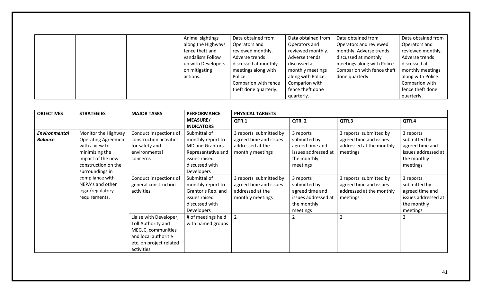|  | Animal sightings   | Data obtained from    | Data obtained from | Data obtained from          | Data obtained from |
|--|--------------------|-----------------------|--------------------|-----------------------------|--------------------|
|  | along the Highways | Operators and         | Operators and      | Operators and reviewed      | Operators and      |
|  | fence theft and    | reviewed monthly.     | reviewed monthly.  | monthly. Adverse trends     | reviewed monthly.  |
|  | vandalism.Follow   | Adverse trends        | Adverse trends     | discussed at monthly        | Adverse trends     |
|  | up with Developers | discussed at monthly  | discussed at       | meetings along with Police. | discussed at       |
|  | on mitigating      | meetings along with   | monthly meetings   | Comparion with fence theft  | monthly meetings   |
|  | actions.           | Police.               | along with Police. | done quarterly.             | along with Police. |
|  |                    | Comparion with fence  | Comparion with     |                             | Comparion with     |
|  |                    | theft done quarterly. | fence theft done   |                             | fence theft done   |
|  |                    |                       | quarterly.         |                             | quarterly.         |

| <b>OBJECTIVES</b>                      | <b>STRATEGIES</b>                                                                                                                                    | <b>MAJOR TASKS</b>                                                                                                                  | <b>PERFORMANCE</b>                                                                                                                        | <b>PHYSICAL TARGETS</b>                                                                  |                                                                                                |                                                                                          |                                                                                                |
|----------------------------------------|------------------------------------------------------------------------------------------------------------------------------------------------------|-------------------------------------------------------------------------------------------------------------------------------------|-------------------------------------------------------------------------------------------------------------------------------------------|------------------------------------------------------------------------------------------|------------------------------------------------------------------------------------------------|------------------------------------------------------------------------------------------|------------------------------------------------------------------------------------------------|
|                                        |                                                                                                                                                      |                                                                                                                                     | <b>MEASURE/</b><br><b>INDICATORS</b>                                                                                                      | QTR.1                                                                                    | QTR. 2                                                                                         | QTR.3                                                                                    | QTR.4                                                                                          |
| <b>Environmental</b><br><b>Balance</b> | Monitor the Highway<br><b>Operating Agreement</b><br>with a view to<br>minimizing the<br>impact of the new<br>construction on the<br>surroundings in | Conduct inspections of<br>construction activities<br>for safety and<br>environmental<br>concerns                                    | Submittal of<br>monthly report to<br><b>MD and Grantors</b><br>Representative and<br>issues raised<br>discussed with<br><b>Developers</b> | 3 reports submitted by<br>agreed time and issues<br>addressed at the<br>monthly meetings | 3 reports<br>submitted by<br>agreed time and<br>issues addressed at<br>the monthly<br>meetings | 3 reports submitted by<br>agreed time and issues<br>addressed at the monthly<br>meetings | 3 reports<br>submitted by<br>agreed time and<br>issues addressed at<br>the monthly<br>meetings |
|                                        | compliance with<br>NEPA's and other<br>legal/regulatory<br>requirements.                                                                             | Conduct inspections of<br>general construction<br>activities.                                                                       | Submittal of<br>monthly report to<br>Grantor's Rep. and<br>issues raised<br>discussed with<br>Developers                                  | 3 reports submitted by<br>agreed time and issues<br>addressed at the<br>monthly meetings | 3 reports<br>submitted by<br>agreed time and<br>issues addressed at<br>the monthly<br>meetings | 3 reports submitted by<br>agreed time and issues<br>addressed at the monthly<br>meetings | 3 reports<br>submitted by<br>agreed time and<br>issues addressed at<br>the monthly<br>meetings |
|                                        |                                                                                                                                                      | Liaise with Developer,<br>Toll Authority and<br>MEGJC, communities<br>and local authoritie<br>etc. on project related<br>activities | # of meetings held<br>with named groups                                                                                                   | $\overline{2}$                                                                           | $\overline{2}$                                                                                 |                                                                                          | $\overline{2}$                                                                                 |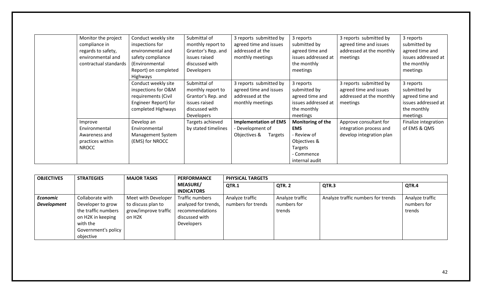| Monitor the project   | Conduct weekly site  | Submittal of        | 3 reports submitted by       | 3 reports           | 3 reports submitted by   | 3 reports            |
|-----------------------|----------------------|---------------------|------------------------------|---------------------|--------------------------|----------------------|
| compliance in         | inspections for      | monthly report to   | agreed time and issues       | submitted by        | agreed time and issues   | submitted by         |
| regards to safety,    | environmental and    | Grantor's Rep. and  | addressed at the             | agreed time and     | addressed at the monthly | agreed time and      |
| environmental and     | safety compliance    | issues raised       | monthly meetings             | issues addressed at | meetings                 | issues addressed at  |
| contractual standards | (Environmental       | discussed with      |                              | the monthly         |                          | the monthly          |
|                       | Report) on completed | Developers          |                              | meetings            |                          | meetings             |
|                       | Highways             |                     |                              |                     |                          |                      |
|                       | Conduct weekly site  | Submittal of        | 3 reports submitted by       | 3 reports           | 3 reports submitted by   | 3 reports            |
|                       | inspections for O&M  | monthly report to   | agreed time and issues       | submitted by        | agreed time and issues   | submitted by         |
|                       | requirements (Civil  | Grantor's Rep. and  | addressed at the             | agreed time and     | addressed at the monthly | agreed time and      |
|                       | Engineer Report) for | issues raised       | monthly meetings             | issues addressed at | meetings                 | issues addressed at  |
|                       | completed Highways   | discussed with      |                              | the monthly         |                          | the monthly          |
|                       |                      | <b>Developers</b>   |                              | meetings            |                          | meetings             |
| Improve               | Develop an           | Targets achieved    | <b>Implementation of EMS</b> | Monitoring of the   | Approve consultant for   | Finalize integration |
| Environmental         | Environmental        | by stated timelines | Development of               | <b>EMS</b>          | integration process and  | of EMS & QMS         |
| Awareness and         | Management System    |                     | Objectives &<br>Targets      | - Review of         | develop integration plan |                      |
| practices within      | (EMS) for NROCC      |                     |                              | Objectives &        |                          |                      |
| <b>NROCC</b>          |                      |                     |                              | Targets             |                          |                      |
|                       |                      |                     |                              | - Commence          |                          |                      |
|                       |                      |                     |                              | internal audit      |                          |                      |

| <b>OBJECTIVES</b>  | <b>STRATEGIES</b>   | <b>MAJOR TASKS</b>   | <b>PERFORMANCE</b>   | <b>PHYSICAL TARGETS</b> |                 |                                    |                 |  |  |  |
|--------------------|---------------------|----------------------|----------------------|-------------------------|-----------------|------------------------------------|-----------------|--|--|--|
|                    |                     |                      | <b>MEASURE/</b>      | QTR.1                   | QTR. 2          | QTR.3                              | QTR.4           |  |  |  |
|                    |                     |                      | <b>INDICATORS</b>    |                         |                 |                                    |                 |  |  |  |
| Economic           | Collaborate with    | Meet with Developer  | Traffic numbers      | Analyze traffic         | Analyze traffic | Analyze traffic numbers for trends | Analyze traffic |  |  |  |
| <b>Development</b> | Developer to grow   | to discuss plan to   | analyzed for trends, | numbers for trends      | numbers for     |                                    | numbers for     |  |  |  |
|                    | the traffic numbers | grow/improve traffic | recommendations      |                         | trends          |                                    | trends          |  |  |  |
|                    | on H2K in keeping   | on H <sub>2K</sub>   | discussed with       |                         |                 |                                    |                 |  |  |  |
|                    | with the            |                      | <b>Developers</b>    |                         |                 |                                    |                 |  |  |  |
|                    | Government's policy |                      |                      |                         |                 |                                    |                 |  |  |  |
|                    | objective           |                      |                      |                         |                 |                                    |                 |  |  |  |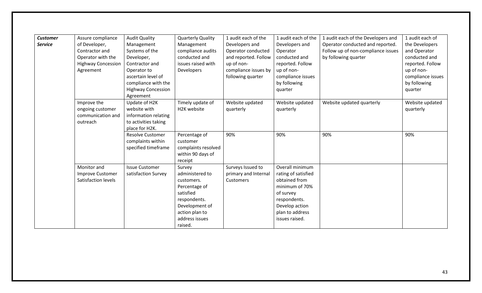| <b>Customer</b> | Assure compliance         | <b>Audit Quality</b>      | <b>Quarterly Quality</b> | 1 audit each of the  | 1 audit each of the | 1 audit each of the Developers and | 1 audit each of   |
|-----------------|---------------------------|---------------------------|--------------------------|----------------------|---------------------|------------------------------------|-------------------|
| <b>Service</b>  | of Developer,             | Management                | Management               | Developers and       | Developers and      | Operator conducted and reported.   | the Developers    |
|                 | Contractor and            | Systems of the            | compliance audits        | Operator conducted   | Operator            | Follow up of non-compliance issues | and Operator      |
|                 | Operator with the         | Developer,                | conducted and            | and reported. Follow | conducted and       | by following quarter               | conducted and     |
|                 | <b>Highway Concession</b> | Contractor and            | issues raised with       | up of non-           | reported. Follow    |                                    | reported. Follow  |
|                 | Agreement                 | Operator to               | <b>Developers</b>        | compliance issues by | up of non-          |                                    | up of non-        |
|                 |                           | ascertain level of        |                          | following quarter    | compliance issues   |                                    | compliance issues |
|                 |                           | compliance with the       |                          |                      | by following        |                                    | by following      |
|                 |                           | <b>Highway Concession</b> |                          |                      | quarter             |                                    | quarter           |
|                 |                           | Agreement                 |                          |                      |                     |                                    |                   |
|                 | Improve the               | Update of H2K             | Timely update of         | Website updated      | Website updated     | Website updated quarterly          | Website updated   |
|                 | ongoing customer          | website with              | H2K website              | quarterly            | quarterly           |                                    | quarterly         |
|                 | communication and         | information relating      |                          |                      |                     |                                    |                   |
|                 | outreach                  | to activities taking      |                          |                      |                     |                                    |                   |
|                 |                           | place for H2K.            |                          |                      |                     |                                    |                   |
|                 |                           | <b>Resolve Customer</b>   | Percentage of            | 90%                  | 90%                 | 90%                                | 90%               |
|                 |                           | complaints within         | customer                 |                      |                     |                                    |                   |
|                 |                           | specified timeframe       | complaints resolved      |                      |                     |                                    |                   |
|                 |                           |                           | within 90 days of        |                      |                     |                                    |                   |
|                 |                           |                           | receipt                  |                      |                     |                                    |                   |
|                 | Monitor and               | <b>Issue Customer</b>     | Survey                   | Surveys Issued to    | Overall minimum     |                                    |                   |
|                 | <b>Improve Customer</b>   | satisfaction Survey       | administered to          | primary and Internal | rating of satisfied |                                    |                   |
|                 | Satisfaction levels       |                           | customers.               | Customers            | obtained from       |                                    |                   |
|                 |                           |                           | Percentage of            |                      | minimum of 70%      |                                    |                   |
|                 |                           |                           | satisfied                |                      | of survey           |                                    |                   |
|                 |                           |                           | respondents.             |                      | respondents.        |                                    |                   |
|                 |                           |                           | Development of           |                      | Develop action      |                                    |                   |
|                 |                           |                           | action plan to           |                      | plan to address     |                                    |                   |
|                 |                           |                           | address issues           |                      | issues raised.      |                                    |                   |
|                 |                           |                           | raised.                  |                      |                     |                                    |                   |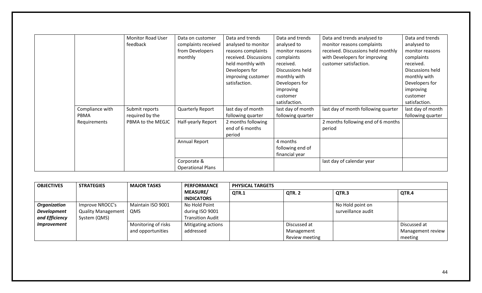|                 | <b>Monitor Road User</b> | Data on customer         | Data and trends       | Data and trends   | Data and trends analysed to         | Data and trends   |
|-----------------|--------------------------|--------------------------|-----------------------|-------------------|-------------------------------------|-------------------|
|                 | feedback                 |                          |                       |                   |                                     |                   |
|                 |                          | complaints received      | analysed to monitor   | analysed to       | monitor reasons complaints          | analysed to       |
|                 |                          | from Developers          | reasons complaints    | monitor reasons   | received. Discussions held monthly  | monitor reasons   |
|                 |                          | monthly                  | received. Discussions | complaints        | with Developers for improving       | complaints        |
|                 |                          |                          | held monthly with     | received.         | customer satisfaction.              | received.         |
|                 |                          |                          | Developers for        | Discussions held  |                                     | Discussions held  |
|                 |                          |                          | improving customer    | monthly with      |                                     | monthly with      |
|                 |                          |                          | satisfaction.         | Developers for    |                                     | Developers for    |
|                 |                          |                          |                       | improving         |                                     | improving         |
|                 |                          |                          |                       | customer          |                                     | customer          |
|                 |                          |                          |                       | satisfaction.     |                                     | satisfaction.     |
| Compliance with | Submit reports           | Quarterly Report         | last day of month     | last day of month | last day of month following quarter | last day of month |
| PBMA            | required by the          |                          | following quarter     | following quarter |                                     | following quarter |
| Requirements    | PBMA to the MEGJC        | Half-yearly Report       | 2 months following    |                   | 2 months following end of 6 months  |                   |
|                 |                          |                          | end of 6 months       |                   | period                              |                   |
|                 |                          |                          | period                |                   |                                     |                   |
|                 |                          | Annual Report            |                       | 4 months          |                                     |                   |
|                 |                          |                          |                       | following end of  |                                     |                   |
|                 |                          |                          |                       | financial year    |                                     |                   |
|                 |                          | Corporate &              |                       |                   | last day of calendar year           |                   |
|                 |                          | <b>Operational Plans</b> |                       |                   |                                     |                   |

| <b>OBJECTIVES</b>         | <b>STRATEGIES</b>         | <b>MAJOR TASKS</b>  | <b>PERFORMANCE</b>                   | <b>PHYSICAL TARGETS</b> |                |                    |                   |  |  |
|---------------------------|---------------------------|---------------------|--------------------------------------|-------------------------|----------------|--------------------|-------------------|--|--|
|                           |                           |                     | <b>MEASURE/</b><br><b>INDICATORS</b> | QTR.1                   | QTR. 2         | QTR.3              | QTR.4             |  |  |
| <b>Organization</b>       | Improve NROCC's           | Maintain ISO 9001   | No Hold Point                        |                         |                | No Hold point on   |                   |  |  |
| <b>Development</b>        | <b>Quality Management</b> | <b>QMS</b>          | during ISO 9001                      |                         |                | surveillance audit |                   |  |  |
| and Efficiency            | System (QMS)              |                     | <b>Transition Audit</b>              |                         |                |                    |                   |  |  |
| <i><b>Improvement</b></i> |                           | Monitoring of risks | Mitigating actions                   |                         | Discussed at   |                    | Discussed at      |  |  |
|                           |                           | and opportunities   | addressed                            |                         | Management     |                    | Management review |  |  |
|                           |                           |                     |                                      |                         | Review meeting |                    | meeting           |  |  |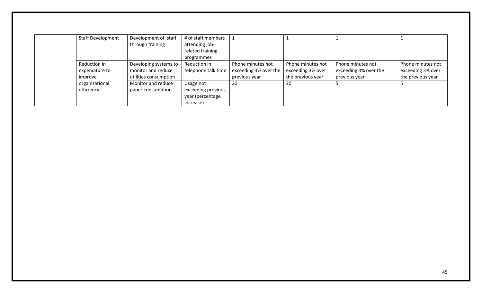| <b>Staff Development</b> | Development of staff  | # of staff members  |                       |                   |                       |                   |
|--------------------------|-----------------------|---------------------|-----------------------|-------------------|-----------------------|-------------------|
|                          | through training      | attending job-      |                       |                   |                       |                   |
|                          |                       | related training    |                       |                   |                       |                   |
|                          |                       | programmes          |                       |                   |                       |                   |
| Reduction in             | Developing systems to | Reduction in        | Phone minutes not     | Phone minutes not | Phone minutes not     | Phone minutes not |
| expenditure to           | monitor and reduce    | telephone talk time | exceeding 3% over the | exceeding 3% over | exceeding 3% over the | exceeding 3% over |
| improve                  | utilities consumption |                     | previous year         | the previous year | previous year         | the previous year |
| organizational           | Monitor and reduce    | Usage not           | 20                    | 20                |                       |                   |
| efficiency               | paper consumption     | exceeding previous  |                       |                   |                       |                   |
|                          |                       | year (percentage    |                       |                   |                       |                   |
|                          |                       | increase)           |                       |                   |                       |                   |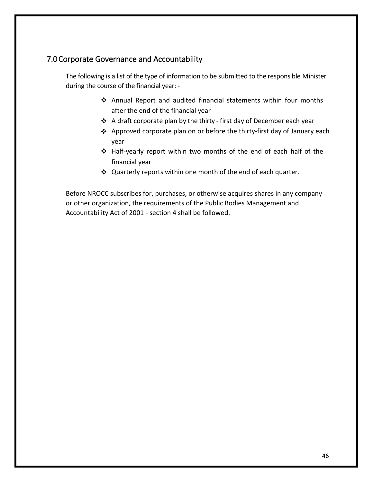# <span id="page-45-0"></span>7.0Corporate Governance and Accountability

The following is a list of the type of information to be submitted to the responsible Minister during the course of the financial year: -

- ❖ Annual Report and audited financial statements within four months after the end of the financial year
- ❖ A draft corporate plan by the thirty first day of December each year
- ❖ Approved corporate plan on or before the thirty-first day of January each year
- ❖ Half-yearly report within two months of the end of each half of the financial year
- ❖ Quarterly reports within one month of the end of each quarter.

Before NROCC subscribes for, purchases, or otherwise acquires shares in any company or other organization, the requirements of the Public Bodies Management and Accountability Act of 2001 - section 4 shall be followed.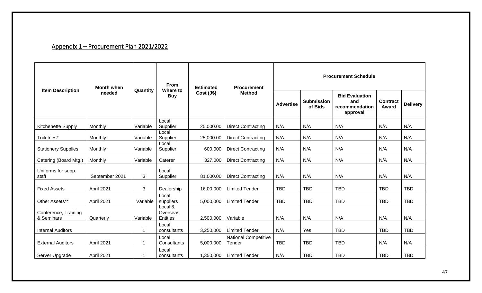# Appendix 1 – Procurement Plan 2021/2022

<span id="page-46-0"></span>

| <b>Item Description</b>            | <b>Month when</b> | Quantity | <b>From</b><br>Where to         | <b>Estimated</b> | <b>Procurement</b><br><b>Method</b>   | <b>Procurement Schedule</b> |                              |                                                            |                          |                 |  |
|------------------------------------|-------------------|----------|---------------------------------|------------------|---------------------------------------|-----------------------------|------------------------------|------------------------------------------------------------|--------------------------|-----------------|--|
|                                    | needed            |          | <b>Buy</b>                      | Cost(J\$)        |                                       | <b>Advertise</b>            | <b>Submission</b><br>of Bids | <b>Bid Evaluation</b><br>and<br>recommendation<br>approval | <b>Contract</b><br>Award | <b>Delivery</b> |  |
| Kitchenette Supply                 | Monthly           | Variable | Local<br>Supplier               | 25,000.00        | <b>Direct Contracting</b>             | N/A                         | N/A                          | N/A                                                        | N/A                      | N/A             |  |
| Toiletries*                        | Monthly           | Variable | Local<br>Supplier               | 25,000.00        | <b>Direct Contracting</b>             | N/A                         | N/A                          | N/A                                                        | N/A                      | N/A             |  |
| <b>Stationery Supplies</b>         | Monthly           | Variable | Local<br>Supplier               | 600,000          | <b>Direct Contracting</b>             | N/A                         | N/A                          | N/A                                                        | N/A                      | N/A             |  |
| Catering (Board Mtg.)              | Monthly           | Variable | Caterer                         | 327,000          | <b>Direct Contracting</b>             | N/A                         | N/A                          | N/A                                                        | N/A                      | N/A             |  |
| Uniforms for supp.<br>staff        | September 2021    | 3        | Local<br>Supplier               | 81,000.00        | <b>Direct Contracting</b>             | N/A                         | N/A                          | N/A                                                        | N/A                      | N/A             |  |
| <b>Fixed Assets</b>                | April 2021        | 3        | Dealership                      | 16,00,000        | <b>Limited Tender</b>                 | <b>TBD</b>                  | <b>TBD</b>                   | <b>TBD</b>                                                 | <b>TBD</b>               | <b>TBD</b>      |  |
| Other Assets**                     | April 2021        | Variable | Local<br>suppliers              | 5,000,000        | <b>Limited Tender</b>                 | <b>TBD</b>                  | <b>TBD</b>                   | <b>TBD</b>                                                 | <b>TBD</b>               | <b>TBD</b>      |  |
| Conference, Training<br>& Seminars | Quarterly         | Variable | Local &<br>Overseas<br>Entities | 2,500,000        | Variable                              | N/A                         | N/A                          | N/A                                                        | N/A                      | N/A             |  |
| <b>Internal Auditors</b>           |                   | 1        | Local<br>consultants            | 3,250,000        | <b>Limited Tender</b>                 | N/A                         | Yes                          | <b>TBD</b>                                                 | <b>TBD</b>               | <b>TBD</b>      |  |
| <b>External Auditors</b>           | April 2021        | 1        | Local<br>Consultants            | 5,000,000        | <b>National Competitive</b><br>Tender | <b>TBD</b>                  | <b>TBD</b>                   | <b>TBD</b>                                                 | N/A                      | N/A             |  |
| Server Upgrade                     | April 2021        |          | Local<br>consultants            | 1,350,000        | <b>Limited Tender</b>                 | N/A                         | <b>TBD</b>                   | <b>TBD</b>                                                 | <b>TBD</b>               | <b>TBD</b>      |  |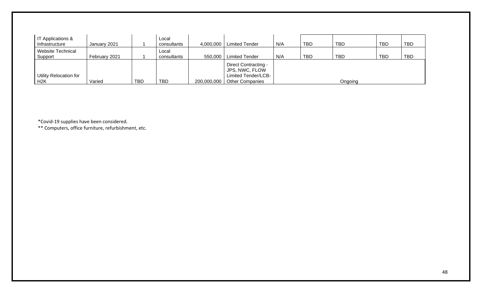| <b>IT Applications &amp;</b><br>Infrastructure | January 2021  |            | Local<br>consultants | 4,000,000   | <b>Limited Tender</b>                                         | N/A | <b>TBD</b> | <b>TBD</b> | <b>TBD</b> | <b>TBD</b> |
|------------------------------------------------|---------------|------------|----------------------|-------------|---------------------------------------------------------------|-----|------------|------------|------------|------------|
| <b>Website Technical</b><br>Support            | February 2021 |            | Local<br>consultants | 550,000     | <b>Limited Tender</b>                                         | N/A | TBD        | <b>TBD</b> | <b>TBD</b> | <b>TBD</b> |
| <b>Utility Relocation for</b>                  |               |            |                      |             | Direct Contracting -<br>JPS, NWC, FLOW<br>Limited Tender/LCB- |     |            |            |            |            |
| H <sub>2</sub> K                               | Varied        | <b>TBD</b> | <b>TBD</b>           | 200,000,000 | <b>Other Companies</b>                                        |     |            | Ongoing    |            |            |

\*Covid-19 supplies have been considered.

\*\* Computers, office furniture, refurbishment, etc.